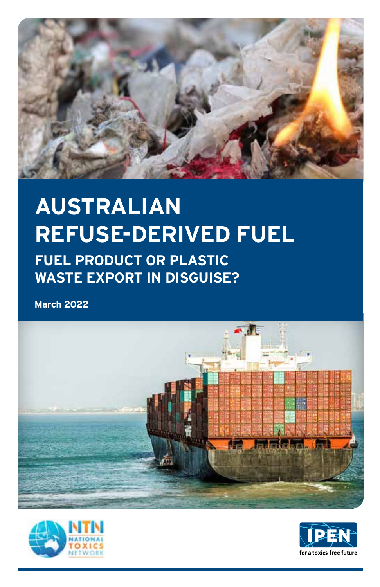

## **AUSTRALIAN REFUSE-DERIVED FUEL**

**FUEL PRODUCT OR PLASTIC WASTE EXPORT IN DISGUISE?**

**March 2022**





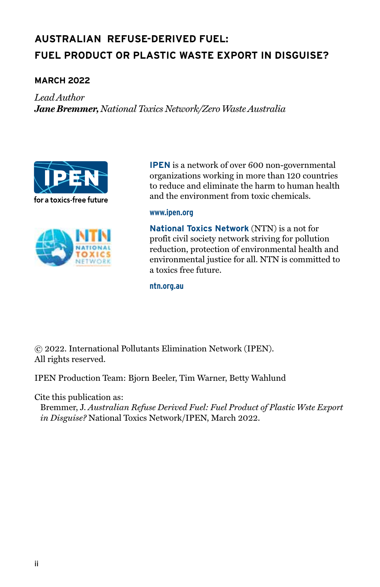## **Australian Refuse-Derived Fuel: FUEL PRODUCT OR PLASTIC WASTE EXPORT IN DISGUISE?**

#### **March 2022**

*Lead Author Jane Bremmer, National Toxics Network/Zero Waste Australia*





**IPEN** is a network of over 600 non-governmental organizations working in more than 120 countries to reduce and eliminate the harm to human health and the environment from toxic chemicals.

#### **www.ipen.org**

**National Toxics Network** (NTN) is a not for profit civil society network striving for pollution reduction, protection of environmental health and environmental justice for all. NTN is committed to a toxics free future.

**ntn.org.au**

© 2022. International Pollutants Elimination Network (IPEN). All rights reserved.

IPEN Production Team: Bjorn Beeler, Tim Warner, Betty Wahlund

Cite this publication as:

Bremmer, J. *Australian Refuse Derived Fuel: Fuel Product of Plastic Wste Export in Disguise?* National Toxics Network/IPEN, March 2022.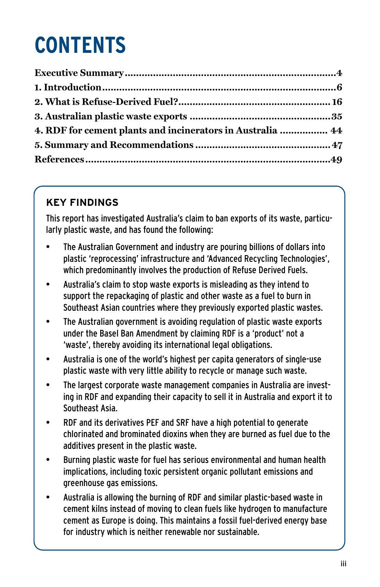## **CONTENTS**

| 4. RDF for cement plants and incinerators in Australia  44 |  |
|------------------------------------------------------------|--|
|                                                            |  |
|                                                            |  |

## **KEY FINDINGS**

This report has investigated Australia's claim to ban exports of its waste, particularly plastic waste, and has found the following:

- The Australian Government and industry are pouring billions of dollars into plastic 'reprocessing' infrastructure and 'Advanced Recycling Technologies', which predominantly involves the production of Refuse Derived Fuels.
- Australia's claim to stop waste exports is misleading as they intend to support the repackaging of plastic and other waste as a fuel to burn in Southeast Asian countries where they previously exported plastic wastes.
- The Australian government is avoiding regulation of plastic waste exports under the Basel Ban Amendment by claiming RDF is a 'product' not a 'waste', thereby avoiding its international legal obligations.
- Australia is one of the world's highest per capita generators of single-use plastic waste with very little ability to recycle or manage such waste.
- The largest corporate waste management companies in Australia are investing in RDF and expanding their capacity to sell it in Australia and export it to Southeast Asia.
- RDF and its derivatives PEF and SRF have a high potential to generate chlorinated and brominated dioxins when they are burned as fuel due to the additives present in the plastic waste.
- Burning plastic waste for fuel has serious environmental and human health implications, including toxic persistent organic pollutant emissions and greenhouse gas emissions.
- Australia is allowing the burning of RDF and similar plastic-based waste in cement kilns instead of moving to clean fuels like hydrogen to manufacture cement as Europe is doing. This maintains a fossil fuel-derived energy base for industry which is neither renewable nor sustainable.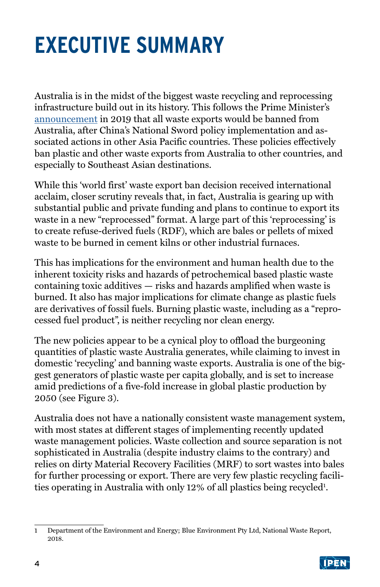## <span id="page-3-0"></span>**EXECUTIVE SUMMARY**

Australia is in the midst of the biggest waste recycling and reprocessing infrastructure build out in its history. This follows the Prime Minister's [announcement](https://www.abc.net.au/news/2019-08-09/coag-meeting-prime-minister-premiers-plastic-waste-export-ban/11399402) in 2019 that all waste exports would be banned from Australia, after China's National Sword policy implementation and associated actions in other Asia Pacific countries. These policies effectively ban plastic and other waste exports from Australia to other countries, and especially to Southeast Asian destinations.

While this 'world first' waste export ban decision received international acclaim, closer scrutiny reveals that, in fact, Australia is gearing up with substantial public and private funding and plans to continue to export its waste in a new "reprocessed" format. A large part of this 'reprocessing' is to create refuse-derived fuels (RDF), which are bales or pellets of mixed waste to be burned in cement kilns or other industrial furnaces.

This has implications for the environment and human health due to the inherent toxicity risks and hazards of petrochemical based plastic waste containing toxic additives — risks and hazards amplified when waste is burned. It also has major implications for climate change as plastic fuels are derivatives of fossil fuels. Burning plastic waste, including as a "reprocessed fuel product", is neither recycling nor clean energy.

The new policies appear to be a cynical ploy to offload the burgeoning quantities of plastic waste Australia generates, while claiming to invest in domestic 'recycling' and banning waste exports. Australia is one of the biggest generators of plastic waste per capita globally, and is set to increase amid predictions of a five-fold increase in global plastic production by 2050 (see Figure 3).

Australia does not have a nationally consistent waste management system, with most states at different stages of implementing recently updated waste management policies. Waste collection and source separation is not sophisticated in Australia (despite industry claims to the contrary) and relies on dirty Material Recovery Facilities (MRF) to sort wastes into bales for further processing or export. There are very few plastic recycling facilities operating in Australia with only 12% of all plastics being recycled<sup>1</sup>.

<sup>1</sup> Department of the Environment and Energy; Blue Environment Pty Ltd, National Waste Report, 2018.

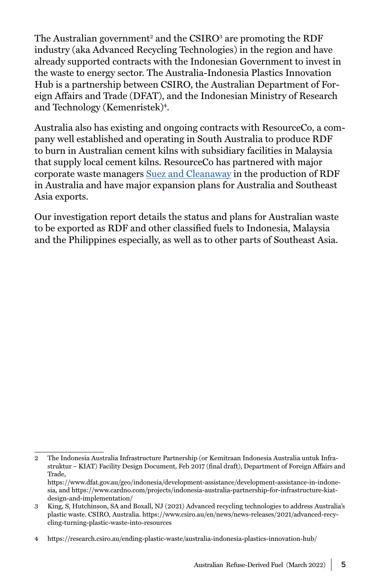The Australian government<sup>2</sup> and the CSIRO<sup>3</sup> are promoting the RDF industry (aka Advanced Recycling Technologies) in the region and have already supported contracts with the Indonesian Government to invest in the waste to energy sector. The Australia-Indonesia Plastics Innovation Hub is a partnership between CSIRO, the Australian Department of Foreign Affairs and Trade (DFAT), and the Indonesian Ministry of Research and Technology (Kemenristek)<sup>4</sup>.

Australia also has existing and ongoing contracts with ResourceCo, a company well established and operating in South Australia to produce RDF to burn in Australian cement kilns with subsidiary facilities in Malaysia that supply local cement kilns. ResourceCo has partnered with major corporate waste managers [Suez and Cleanaway](https://resourceco.com.au/what-we-do/energy/) in the production of RDF in Australia and have major expansion plans for Australia and Southeast Asia exports.

Our investigation report details the status and plans for Australian waste to be exported as RDF and other classified fuels to Indonesia, Malaysia and the Philippines especially, as well as to other parts of Southeast Asia.

<sup>2</sup> The Indonesia Australia Infrastructure Partnership (or Kemitraan Indonesia Australia untuk Infrastruktur – KIAT) Facility Design Document, Feb 2017 (final draft), Department of Foreign Affairs and Trade,

https://www.dfat.gov.au/geo/indonesia/development-assistance/development-assistance-in-indonesia, and https://www.cardno.com/projects/indonesia-australia-partnership-for-infrastructure-kiatdesign-and-implementation/

<sup>3</sup> King, S, Hutchinson, SA and Boxall, NJ (2021) Advanced recycling technologies to address Australia's plastic waste. CSIRO, Australia. https://www.csiro.au/en/news/news-releases/2021/advanced-recycling-turning-plastic-waste-into-resources

<sup>4</sup> https://research.csiro.au/ending-plastic-waste/australia-indonesia-plastics-innovation-hub/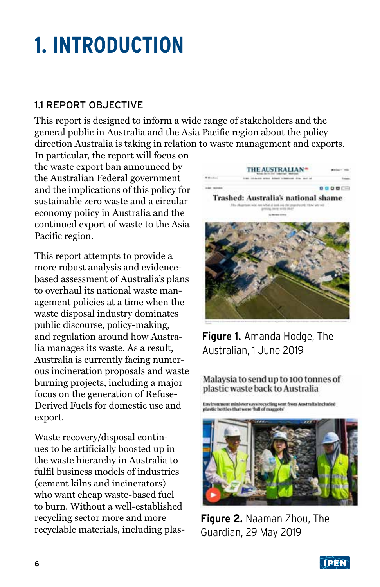## <span id="page-5-0"></span>**1. INTRODUCTION**

## 1.1 REPORT OBJECTIVE

This report is designed to inform a wide range of stakeholders and the general public in Australia and the Asia Pacific region about the policy direction Australia is taking in relation to waste management and exports.

In particular, the report will focus on the waste export ban announced by the Australian Federal government and the implications of this policy for sustainable zero waste and a circular economy policy in Australia and the continued export of waste to the Asia Pacific region.

This report attempts to provide a more robust analysis and evidencebased assessment of Australia's plans to overhaul its national waste management policies at a time when the waste disposal industry dominates public discourse, policy-making, and regulation around how Australia manages its waste. As a result, Australia is currently facing numerous incineration proposals and waste burning projects, including a major focus on the generation of Refuse-Derived Fuels for domestic use and export.

Waste recovery/disposal continues to be artificially boosted up in the waste hierarchy in Australia to fulfil business models of industries (cement kilns and incinerators) who want cheap waste-based fuel to burn. Without a well-established recycling sector more and more recyclable materials, including plas-



**Figure 1.** Amanda Hodge, The Australian, 1 June 2019

Malaysia to send up to 100 tonnes of plastic waste back to Australia

Environment minister says recycling sent from Australia included<br>plastic bottles that were 'full of maggots'



**Figure 2.** Naaman Zhou, The Guardian, 29 May 2019

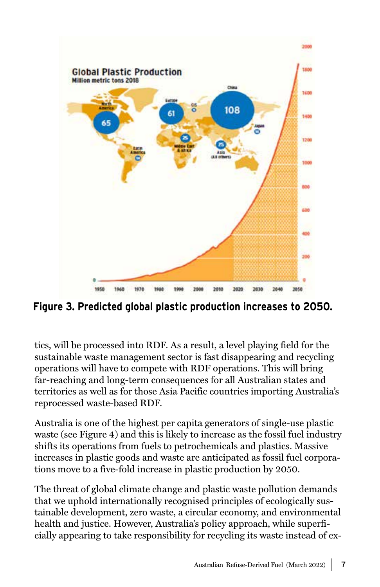

**Figure 3. Predicted global plastic production increases to 2050.**

tics, will be processed into RDF. As a result, a level playing field for the sustainable waste management sector is fast disappearing and recycling operations will have to compete with RDF operations. This will bring far-reaching and long-term consequences for all Australian states and territories as well as for those Asia Pacific countries importing Australia's reprocessed waste-based RDF.

Australia is one of the highest per capita generators of single-use plastic waste (see Figure 4) and this is likely to increase as the fossil fuel industry shifts its operations from fuels to petrochemicals and plastics. Massive increases in plastic goods and waste are anticipated as fossil fuel corporations move to a five-fold increase in plastic production by 2050.

The threat of global climate change and plastic waste pollution demands that we uphold internationally recognised principles of ecologically sustainable development, zero waste, a circular economy, and environmental health and justice. However, Australia's policy approach, while superficially appearing to take responsibility for recycling its waste instead of ex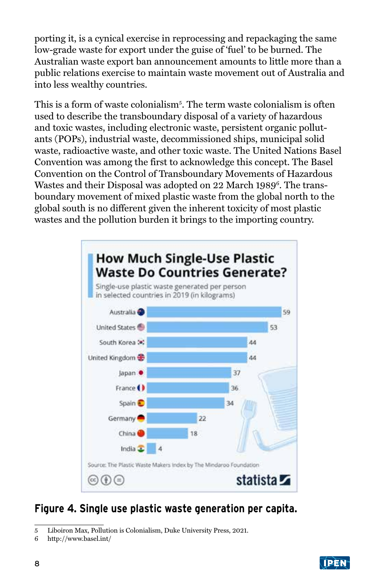porting it, is a cynical exercise in reprocessing and repackaging the same low-grade waste for export under the guise of 'fuel' to be burned. The Australian waste export ban announcement amounts to little more than a public relations exercise to maintain waste movement out of Australia and into less wealthy countries.

This is a form of waste colonialism<sup>5</sup>. The term waste colonialism is often used to describe the transboundary disposal of a variety of hazardous and toxic wastes, including electronic waste, persistent organic pollutants (POPs), industrial waste, decommissioned ships, municipal solid waste, radioactive waste, and other toxic waste. The United Nations Basel Convention was among the first to acknowledge this concept. The Basel Convention on the Control of Transboundary Movements of Hazardous Wastes and their Disposal was adopted on 22 March 1989<sup>6</sup>. The transboundary movement of mixed plastic waste from the global north to the global south is no different given the inherent toxicity of most plastic wastes and the pollution burden it brings to the importing country.



## **Figure 4. Single use plastic waste generation per capita.**



<sup>5</sup> Liboiron Max, Pollution is Colonialism, Duke University Press, 2021.

<sup>6</sup> http://www.basel.int/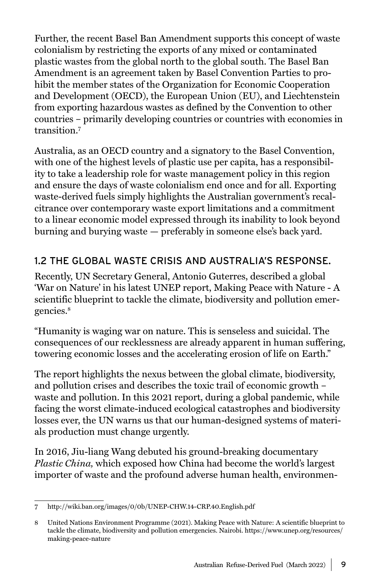Further, the recent Basel Ban Amendment supports this concept of waste colonialism by restricting the exports of any mixed or contaminated plastic wastes from the global north to the global south. The Basel Ban Amendment is an agreement taken by Basel Convention Parties to prohibit the member states of the Organization for Economic Cooperation and Development (OECD), the European Union (EU), and Liechtenstein from exporting hazardous wastes as defined by the Convention to other countries – primarily developing countries or countries with economies in transition.7

Australia, as an OECD country and a signatory to the Basel Convention, with one of the highest levels of plastic use per capita, has a responsibility to take a leadership role for waste management policy in this region and ensure the days of waste colonialism end once and for all. Exporting waste-derived fuels simply highlights the Australian government's recalcitrance over contemporary waste export limitations and a commitment to a linear economic model expressed through its inability to look beyond burning and burying waste — preferably in someone else's back yard.

### 1.2 THE GLOBAL WASTE CRISIS AND AUSTRALIA'S RESPONSE.

Recently, UN Secretary General, Antonio Guterres, described a global 'War on Nature' in his latest UNEP report, Making Peace with Nature - A scientific blueprint to tackle the climate, biodiversity and pollution emergencies.8

"Humanity is waging war on nature. This is senseless and suicidal. The consequences of our recklessness are already apparent in human suffering, towering economic losses and the accelerating erosion of life on Earth."

The report highlights the nexus between the global climate, biodiversity, and pollution crises and describes the toxic trail of economic growth – waste and pollution. In this 2021 report, during a global pandemic, while facing the worst climate-induced ecological catastrophes and biodiversity losses ever, the UN warns us that our human-designed systems of materials production must change urgently.

In 2016, Jiu-liang Wang debuted his ground-breaking documentary *[Plastic China,](https://www.cnex.tw/plasticchina)* which exposed how China had become the world's largest importer of waste and the profound adverse human health, environmen-

<sup>7</sup> http://wiki.ban.org/images/0/0b/UNEP-CHW.14-CRP.40.English.pdf

<sup>8</sup> United Nations Environment Programme (2021). Making Peace with Nature: A scientific blueprint to tackle the climate, biodiversity and pollution emergencies. Nairobi. https://www.unep.org/resources/ making-peace-nature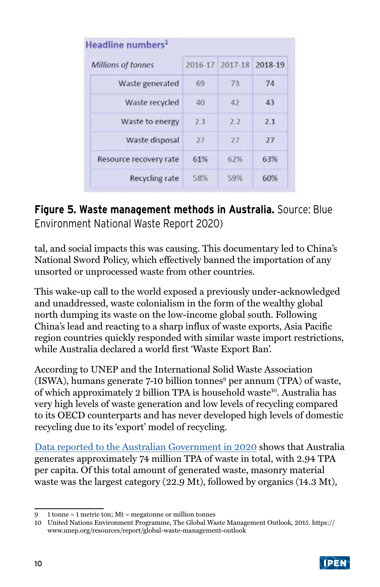| Millions of tonnes     |              | 2016-17 2017-18 | 2018-19 |
|------------------------|--------------|-----------------|---------|
| Waste generated        | 69           | 73              | 74      |
| Waste recycled         | $40^{\circ}$ | 42              | 43      |
| Waste to energy        | 2.1          | 2.2             | 2.1     |
| Waste disposal         | 27           | 27              | 27      |
| Resource recovery rate | 61%          | 62%             | 63%     |
| Recycling rate         | 58%          | 59%             | 60%     |

## **Figure 5. Waste management methods in Australia.** Source: Blue Environment National Waste Report 2020)

tal, and social impacts this was causing. This documentary led to China's National Sword Policy, which effectively banned the importation of any unsorted or unprocessed waste from other countries.

This wake-up call to the world exposed a previously under-acknowledged and unaddressed, waste colonialism in the form of the wealthy global north dumping its waste on the low-income global south. Following China's lead and reacting to a sharp influx of waste exports, Asia Pacific region countries quickly responded with similar waste import restrictions, while Australia declared a world first 'Waste Export Ban'.

According to UNEP and the International Solid Waste Association (ISWA), humans generate 7-10 billion tonnes<sup>9</sup> per annum (TPA) of waste, of which approximately 2 billion TPA is household waste<sup>10</sup>. Australia has very high levels of waste generation and low levels of recycling compared to its OECD counterparts and has never developed high levels of domestic recycling due to its 'export' model of recycling.

Data [reported to the Australian Government in 2020](https://www.environment.gov.au/protection/waste/national-waste-reports/2020) shows that Australia generates approximately 74 million TPA of waste in total, with 2.94 TPA per capita. Of this total amount of generated waste, masonry material waste was the largest category (22.9 Mt), followed by organics (14.3 Mt),

<sup>10</sup> United Nations Environment Programme, The Global Waste Management Outlook, 2015. https:// www.unep.org/resources/report/global-waste-management-outlook



<sup>9</sup> 1 tonne = 1 metric ton; Mt = megatonne or million tonnes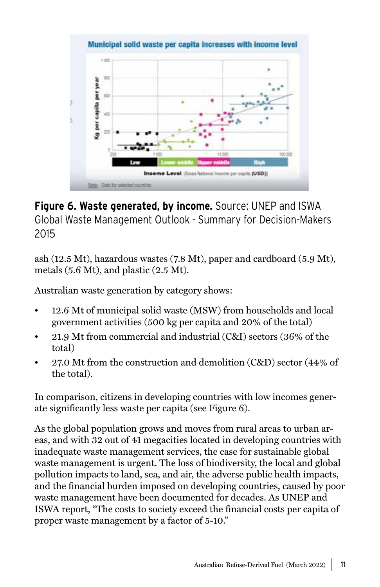

## **Figure 6. Waste generated, by income.** Source: UNEP and ISWA Global Waste Management Outlook - Summary for Decision-Makers 2015

ash (12.5 Mt), hazardous wastes (7.8 Mt), paper and cardboard (5.9 Mt), metals (5.6 Mt), and plastic (2.5 Mt).

Australian waste generation by category shows:

- 12.6 Mt of municipal solid waste (MSW) from households and local government activities (500 kg per capita and 20% of the total)
- 21.9 Mt from commercial and industrial (C&I) sectors (36% of the total)
- 27.0 Mt from the construction and demolition (C&D) sector (44% of the total).

In comparison, citizens in developing countries with low incomes generate significantly less waste per capita (see Figure 6).

As the global population grows and moves from rural areas to urban areas, and with 32 out of 41 megacities located in developing countries with inadequate waste management services, the case for sustainable global waste management is urgent. The loss of biodiversity, the local and global pollution impacts to land, sea, and air, the adverse public health impacts, and the financial burden imposed on developing countries, caused by poor waste management have been documented for decades. As UNEP and ISWA report, "The costs to society exceed the financial costs per capita of proper waste management by a factor of 5-10."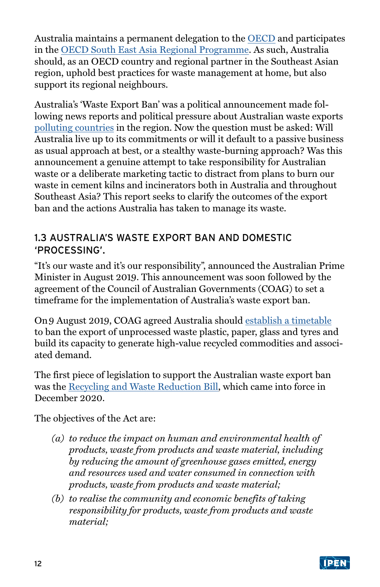Australia maintains a permanent delegation to the [OECD](https://www.dfat.gov.au/trade/organisations/oecd) and participates in the [OECD South East Asia Regional Programme](https://www.oecd.org/southeast-asia/regional-programme/). As such, Australia should, as an OECD country and regional partner in the Southeast Asian region, uphold best practices for waste management at home, but also support its regional neighbours.

Australia's 'Waste Export Ban' was a political announcement made following news reports and political pressure about Australian waste exports [polluting countries](https://www.theaustralian.com.au/inquirer/what-a-load-of-rubbish-is-piling-up-in-asia/news-story/d9f12c4896930cd3a4b5643524804468) in the region. Now the question must be asked: Will Australia live up to its commitments or will it default to a passive business as usual approach at best, or a stealthy waste-burning approach? Was this announcement a genuine attempt to take responsibility for Australian waste or a deliberate marketing tactic to distract from plans to burn our waste in cement kilns and incinerators both in Australia and throughout Southeast Asia? This report seeks to clarify the outcomes of the export ban and the actions Australia has taken to manage its waste.

### 1.3 AUSTRALIA'S WASTE EXPORT BAN AND DOMESTIC 'PROCESSING'.

"It's our waste and it's our responsibility", announced the Australian Prime Minister in August 2019. This announcement was soon followed by the agreement of the Council of Australian Governments (COAG) to set a timeframe for the implementation of Australia's waste export ban.

On 9 August 2019, COAG agreed Australia should [establish a timetable](https://www.coag.gov.au/sites/default/files/communique/phasing-out-waste-exports-response-strategy.pdf) to ban the export of unprocessed waste plastic, paper, glass and tyres and build its capacity to generate high-value recycled commodities and associated demand.

The first piece of legislation to support the Australian waste export ban was the [Recycling and Waste Reduction Bill](https://www.aph.gov.au/Parliamentary_Business/Bills_Legislation/Bills_Search_Results/Result?bId=r6573), which came into force in December 2020.

The objectives of the Act are:

- *(a) to reduce the impact on human and environmental health of products, waste from products and waste material, including by reducing the amount of greenhouse gases emitted, energy and resources used and water consumed in connection with products, waste from products and waste material;*
- *(b) to realise the community and economic benefits of taking responsibility for products, waste from products and waste material;*

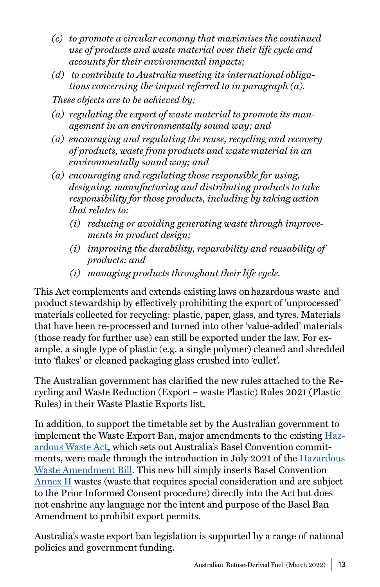- *(c) to promote a circular economy that maximises the continued use of products and waste material over their life cycle and accounts for their environmental impacts;*
- *(d) to contribute to Australia meeting its international obligations concerning the impact referred to in paragraph (a).*
- *These objects are to be achieved by:*
- *(a) regulating the export of waste material to promote its management in an environmentally sound way; and*
- *(a) encouraging and regulating the reuse, recycling and recovery of products, waste from products and waste material in an environmentally sound way; and*
- *(a) encouraging and regulating those responsible for using, designing, manufacturing and distributing products to take responsibility for those products, including by taking action that relates to:* 
	- *(i) reducing or avoiding generating waste through improvements in product design;*
	- *(i) improving the durability, reparability and reusability of products; and*
	- *(i) managing products throughout their life cycle.*

This Act complements and extends existing laws on hazardous waste and product stewardship by effectively prohibiting the export of 'unprocessed' materials collected for recycling: plastic, paper, glass, and tyres. Materials that have been re-processed and turned into other 'value-added' materials (those ready for further use) can still be exported under the law. For example, a single type of plastic (e.g. a single polymer) cleaned and shredded into 'flakes' or cleaned packaging glass crushed into 'cullet'.

The Australian government has clarified the new rules attached to the Recycling and Waste Reduction (Export – waste Plastic) Rules 2021 (Plastic Rules) in their Waste Plastic Exports list.

In addition, to support the timetable set by the Australian government to implement the Waste Export Ban, major amendments to the existing [Haz](https://www.legislation.gov.au/Details/C2017C00194)[ardous Waste Act](https://www.legislation.gov.au/Details/C2017C00194), which sets out Australia's Basel Convention commitments, were made through the introduction in July 2021 of the [Hazardous](https://parlinfo.aph.gov.au/parlInfo/download/legislation/bills/r6685_aspassed/toc_pdf/21026b01.pdf;fileType=application%2Fpdf)  [Waste Amendment Bill.](https://parlinfo.aph.gov.au/parlInfo/download/legislation/bills/r6685_aspassed/toc_pdf/21026b01.pdf;fileType=application%2Fpdf) This new bill simply inserts Basel Convention [Annex II](http://www.basel.int/Implementation/Plasticwaste/PlasticWasteAmendments/FAQs/tabid/8427/Default.aspx) wastes (waste that requires special consideration and are subject to the Prior Informed Consent procedure) directly into the Act but does not enshrine any language nor the intent and purpose of the Basel Ban Amendment to prohibit export permits.

Australia's waste export ban legislation is supported by a range of national policies and government funding.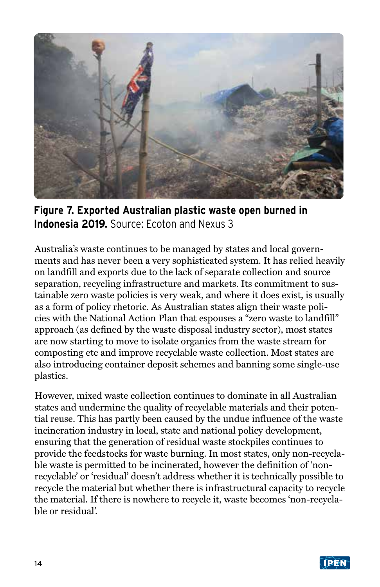

**Figure 7. Exported Australian plastic waste open burned in Indonesia 2019.** Source: Ecoton and Nexus 3

Australia's waste continues to be managed by states and local governments and has never been a very sophisticated system. It has relied heavily on landfill and exports due to the lack of separate collection and source separation, recycling infrastructure and markets. Its commitment to sustainable zero waste policies is very weak, and where it does exist, is usually as a form of policy rhetoric. As Australian states align their waste policies with the National Action Plan that espouses a "zero waste to landfill" approach (as defined by the waste disposal industry sector), most states are now starting to move to isolate organics from the waste stream for composting etc and improve recyclable waste collection. Most states are also introducing container deposit schemes and banning some single-use plastics.

However, mixed waste collection continues to dominate in all Australian states and undermine the quality of recyclable materials and their potential reuse. This has partly been caused by the undue influence of the waste incineration industry in local, state and national policy development, ensuring that the generation of residual waste stockpiles continues to provide the feedstocks for waste burning. In most states, only non-recyclable waste is permitted to be incinerated, however the definition of 'nonrecyclable' or 'residual' doesn't address whether it is technically possible to recycle the material but whether there is infrastructural capacity to recycle the material. If there is nowhere to recycle it, waste becomes 'non-recyclable or residual'.

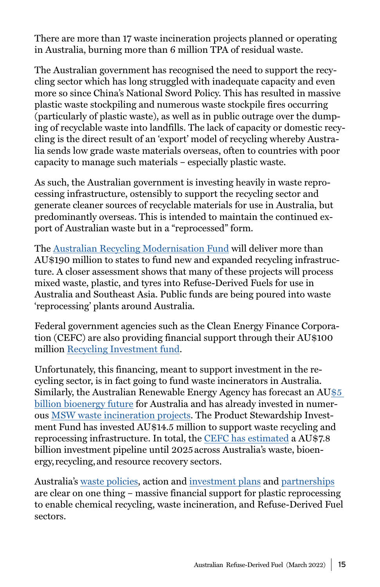There are more than 17 waste incineration projects planned or operating in Australia, burning more than 6 million TPA of residual waste.

The Australian government has recognised the need to support the recycling sector which has long struggled with inadequate capacity and even more so since China's National Sword Policy. This has resulted in massive plastic waste stockpiling and numerous waste stockpile fires occurring (particularly of plastic waste), as well as in public outrage over the dumping of recyclable waste into landfills. The lack of capacity or domestic recycling is the direct result of an 'export' model of recycling whereby Australia sends low grade waste materials overseas, often to countries with poor capacity to manage such materials – especially plastic waste.

As such, the Australian government is investing heavily in waste reprocessing infrastructure, ostensibly to support the recycling sector and generate cleaner sources of recyclable materials for use in Australia, but predominantly overseas. This is intended to maintain the continued export of Australian waste but in a "reprocessed" form.

The [Australian Recycling Modernisation Fund](https://www.environment.gov.au/protection/waste/how-we-manage-waste/recycling-modernisation-fund/state-territory-agreement-announcements) will deliver more than AU\$190 million to states to fund new and expanded recycling infrastructure. A closer assessment shows that many of these projects will process mixed waste, plastic, and tyres into Refuse-Derived Fuels for use in Australia and Southeast Asia. Public funds are being poured into waste 'reprocessing' plants around Australia.

Federal government agencies such as the Clean Energy Finance Corporation (CEFC) are also providing financial support through their AU\$100 million [Recycling Investment fund](https://www.cefc.com.au/where-we-invest/special-investment-programs/australian-recycling-investment-fund/).

Unfortunately, this financing, meant to support investment in the recycling sector, is in fact going to fund waste incinerators in Australia. Similarly, the Australian Renewable Energy Agency has forecast an A[U\\$5](https://wastemanagementreview.com.au/bioenergy-5b/)  [billion bioenergy future](https://wastemanagementreview.com.au/bioenergy-5b/) for Australia and has already invested in numerous [MSW waste incineration projects.](https://wastemanagementreview.com.au/9-4-million-bioenergy-project-to-convert-waste-into-biofuel-in-wa/) The Product Stewardship Investment Fund has invested AU\$14.5 million to support waste recycling and reprocessing infrastructure. In total, the [CEFC has estimated](https://www.cefc.com.au/media/media-release/billion-dollar-recycling-and-resource-recovery-industry-to-turn-trash-into-treasure/) a AU\$7.8 billion investment pipeline until 2025 across Australia's waste, bioenergy, recycling, and resource recovery sectors.

Australia's [waste policies,](https://www.environment.gov.au/system/files/resources/a327406c-79f5-47f1-b71b-7388407c35a0/files/national-plastics-plan-2021.pdf) action and [investment plans](https://www.environment.gov.au/protection/waste/publications/plastics-infrastructure-analysis-update) and [partnerships](https://www.csiro.au/en/research/natural-environment/circular-economy) are clear on one thing – massive financial support for plastic reprocessing to enable chemical recycling, waste incineration, and Refuse-Derived Fuel sectors.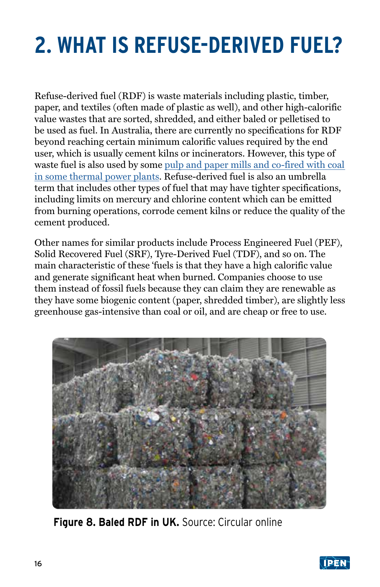## <span id="page-15-0"></span>**2. WHAT IS REFUSE-DERIVED FUEL?**

Refuse-derived fuel (RDF) is waste materials including plastic, timber, paper, and textiles (often made of plastic as well), and other high-calorific value wastes that are sorted, shredded, and either baled or pelletised to be used as fuel. In Australia, there are currently no specifications for RDF beyond reaching certain minimum calorific values required by the end user, which is usually cement kilns or incinerators. However, this type of waste fuel is also used by some [pulp and paper mills and co-fired with coal](https://www.ieabioenergy.com/wp-content/uploads/2020/05/Trends-in-use-of-solid-recovered-fuels-Main-Report-Task36.pdf)  [in some thermal power plants](https://www.ieabioenergy.com/wp-content/uploads/2020/05/Trends-in-use-of-solid-recovered-fuels-Main-Report-Task36.pdf). Refuse-derived fuel is also an umbrella term that includes other types of fuel that may have tighter specifications, including limits on mercury and chlorine content which can be emitted from burning operations, corrode cement kilns or reduce the quality of the cement produced.

Other names for similar products include Process Engineered Fuel (PEF), Solid Recovered Fuel (SRF), Tyre-Derived Fuel (TDF), and so on. The main characteristic of these 'fuels is that they have a high calorific value and generate significant heat when burned. Companies choose to use them instead of fossil fuels because they can claim they are renewable as they have some biogenic content (paper, shredded timber), are slightly less greenhouse gas-intensive than coal or oil, and are cheap or free to use.



**Figure 8. Baled RDF in UK.** Source: Circular online

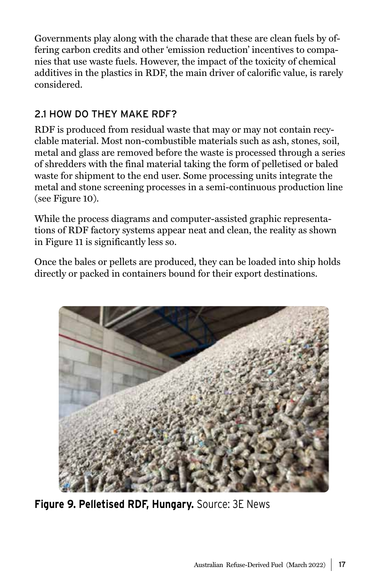Governments play along with the charade that these are clean fuels by offering carbon credits and other 'emission reduction' incentives to companies that use waste fuels. However, the impact of the toxicity of chemical additives in the plastics in RDF, the main driver of calorific value, is rarely considered.

## 2.1 HOW DO THEY MAKE RDF?

RDF is produced from residual waste that may or may not contain recyclable material. Most non-combustible materials such as ash, stones, soil, metal and glass are removed before the waste is processed through a series of shredders with the final material taking the form of pelletised or baled waste for shipment to the end user. Some processing units integrate the metal and stone screening processes in a semi-continuous production line (see Figure 10).

While the process diagrams and computer-assisted graphic representations of RDF factory systems appear neat and clean, the reality as shown in Figure 11 is significantly less so.

Once the bales or pellets are produced, they can be loaded into ship holds directly or packed in containers bound for their export destinations.



**Figure 9. Pelletised RDF, Hungary.** Source: 3E News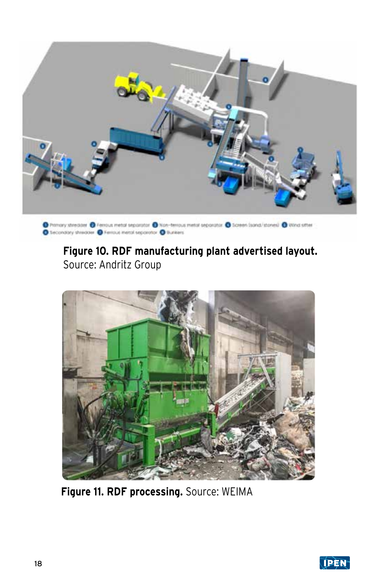

 $\bullet$  Primary streaser  $\bullet$  Ferrous metal separator  $\bullet$  Non-terrous metal separator  $\bullet$  Screen (sand/stares)  $\bullet$  Wind sitter  $\bullet$  Secondary shimages  $\bullet$  Ferrous metal separator  $\bullet$  Sunkers

## **Figure 10. RDF manufacturing plant advertised layout.**  Source: Andritz Group



**Figure 11. RDF processing.** Source: WEIMA

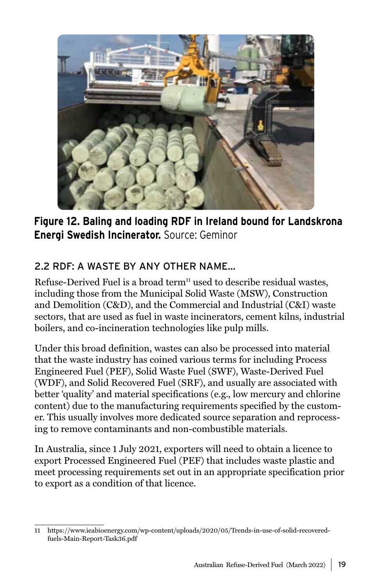

**Figure 12. Baling and loading RDF in Ireland bound for Landskrona Energi Swedish Incinerator.** Source: Geminor

### 2.2 RDF: A WASTE BY ANY OTHER NAME…

Refuse-Derived Fuel is a broad term<sup>11</sup> used to describe residual wastes, including those from the Municipal Solid Waste (MSW), Construction and Demolition (C&D), and the Commercial and Industrial (C&I) waste sectors, that are used as fuel in waste incinerators, cement kilns, industrial boilers, and co-incineration technologies like pulp mills.

Under this broad definition, wastes can also be processed into material that the waste industry has coined various terms for including Process Engineered Fuel (PEF), Solid Waste Fuel (SWF), Waste-Derived Fuel (WDF), and Solid Recovered Fuel (SRF), and usually are associated with better 'quality' and material specifications (e.g., low mercury and chlorine content) due to the manufacturing requirements specified by the customer. This usually involves more dedicated source separation and reprocessing to remove contaminants and non-combustible materials.

In Australia, since 1 July 2021, exporters will need to obtain a licence to export Processed Engineered Fuel (PEF) that includes waste plastic and meet processing requirements set out in an appropriate specification prior to export as a condition of that licence.

<sup>11</sup> https://www.ieabioenergy.com/wp-content/uploads/2020/05/Trends-in-use-of-solid-recoveredfuels-Main-Report-Task36.pdf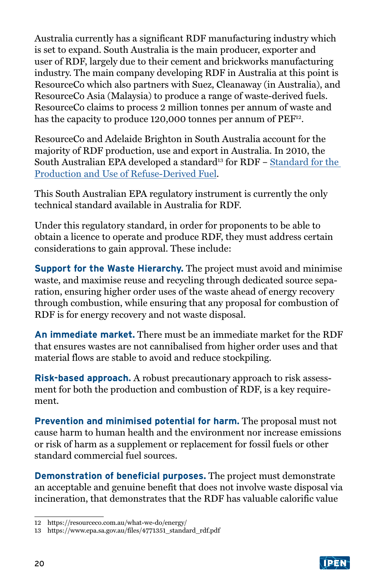Australia currently has a significant RDF manufacturing industry which is set to expand. South Australia is the main producer, exporter and user of RDF, largely due to their cement and brickworks manufacturing industry. The main company developing RDF in Australia at this point is ResourceCo which also partners with Suez, Cleanaway (in Australia), and ResourceCo Asia (Malaysia) to produce a range of waste-derived fuels. ResourceCo claims to process 2 million tonnes per annum of waste and has the capacity to produce 120,000 tonnes per annum of PEF<sup>12</sup>.

ResourceCo and Adelaide Brighton in South Australia account for the majority of RDF production, use and export in Australia. In 2010, the South Australian EPA developed a standard<sup>13</sup> for RDF - Standard for the [Production and Use of Refuse-Derived Fuel.](https://www.epa.sa.gov.au/files/4771351_standard_rdf.pdf)

This South Australian EPA regulatory instrument is currently the only technical standard available in Australia for RDF.

Under this regulatory standard, in order for proponents to be able to obtain a licence to operate and produce RDF, they must address certain considerations to gain approval. These include:

**Support for the Waste Hierarchy.** The project must avoid and minimise waste, and maximise reuse and recycling through dedicated source separation, ensuring higher order uses of the waste ahead of energy recovery through combustion, while ensuring that any proposal for combustion of RDF is for energy recovery and not waste disposal.

**An immediate market.** There must be an immediate market for the RDF that ensures wastes are not cannibalised from higher order uses and that material flows are stable to avoid and reduce stockpiling.

**Risk-based approach.** A robust precautionary approach to risk assessment for both the production and combustion of RDF, is a key requirement.

**Prevention and minimised potential for harm.** The proposal must not cause harm to human health and the environment nor increase emissions or risk of harm as a supplement or replacement for fossil fuels or other standard commercial fuel sources.

**Demonstration of beneficial purposes.** The project must demonstrate an acceptable and genuine benefit that does not involve waste disposal via incineration, that demonstrates that the RDF has valuable calorific value



<sup>12</sup> https://resourceco.com.au/what-we-do/energy/

<sup>13</sup> https://www.epa.sa.gov.au/files/4771351\_standard\_rdf.pdf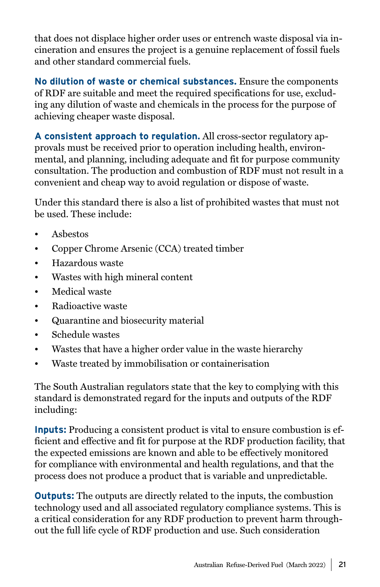that does not displace higher order uses or entrench waste disposal via incineration and ensures the project is a genuine replacement of fossil fuels and other standard commercial fuels.

**No dilution of waste or chemical substances.** Ensure the components of RDF are suitable and meet the required specifications for use, excluding any dilution of waste and chemicals in the process for the purpose of achieving cheaper waste disposal.

**A consistent approach to regulation.** All cross-sector regulatory approvals must be received prior to operation including health, environmental, and planning, including adequate and fit for purpose community consultation. The production and combustion of RDF must not result in a convenient and cheap way to avoid regulation or dispose of waste.

Under this standard there is also a list of prohibited wastes that must not be used. These include:

- Asbestos
- Copper Chrome Arsenic (CCA) treated timber
- Hazardous waste
- Wastes with high mineral content
- Medical waste
- Radioactive waste
- Quarantine and biosecurity material
- Schedule wastes
- Wastes that have a higher order value in the waste hierarchy
- Waste treated by immobilisation or containerisation

The South Australian regulators state that the key to complying with this standard is demonstrated regard for the inputs and outputs of the RDF including:

**Inputs:** Producing a consistent product is vital to ensure combustion is efficient and effective and fit for purpose at the RDF production facility, that the expected emissions are known and able to be effectively monitored for compliance with environmental and health regulations, and that the process does not produce a product that is variable and unpredictable.

**Outputs:** The outputs are directly related to the inputs, the combustion technology used and all associated regulatory compliance systems. This is a critical consideration for any RDF production to prevent harm throughout the full life cycle of RDF production and use. Such consideration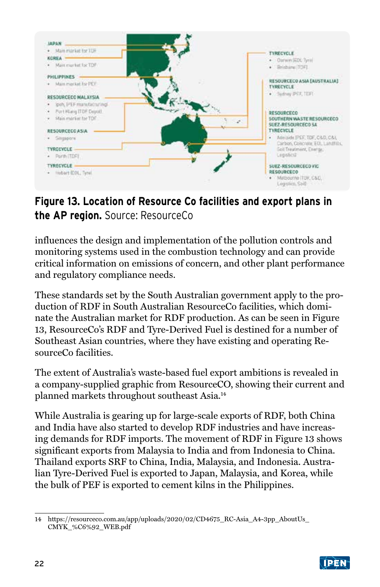

## **Figure 13. Location of Resource Co facilities and export plans in the AP region.** Source: ResourceCo

influences the design and implementation of the pollution controls and monitoring systems used in the combustion technology and can provide critical information on emissions of concern, and other plant performance and regulatory compliance needs.

These standards set by the South Australian government apply to the production of RDF in South Australian ResourceCo facilities, which dominate the Australian market for RDF production. As can be seen in Figure 13, ResourceCo's RDF and Tyre-Derived Fuel is destined for a number of Southeast Asian countries, where they have existing and operating ResourceCo facilities.

The extent of Australia's waste-based fuel export ambitions is revealed in a company-supplied graphic from ResourceCO, showing their current and planned markets throughout southeast Asia.14

While Australia is gearing up for large-scale exports of RDF, both China and India have also started to develop RDF industries and have increasing demands for RDF imports. The movement of RDF in Figure 13 shows significant exports from Malaysia to India and from Indonesia to China. Thailand exports SRF to China, India, Malaysia, and Indonesia. Australian Tyre-Derived Fuel is exported to Japan, Malaysia, and Korea, while the bulk of PEF is exported to cement kilns in the Philippines.

<sup>14</sup> https://resourceco.com.au/app/uploads/2020/02/CD4675\_RC-Asia\_A4-3pp\_AboutUs\_ CMYK\_%C6%92\_WEB.pdf

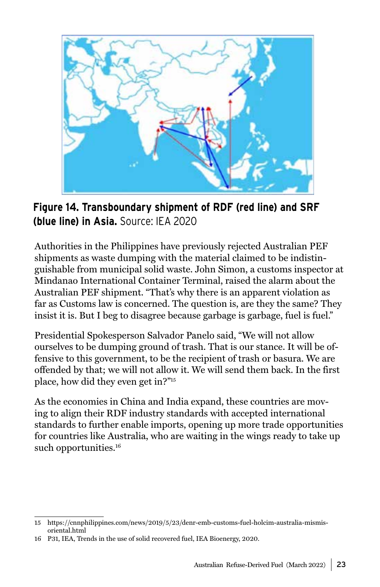

**Figure 14. Transboundary shipment of RDF (red line) and SRF (blue line) in Asia.** Source: IEA 2020

Authorities in the Philippines have previously rejected Australian PEF shipments as waste dumping with the material claimed to be indistinguishable from municipal solid waste. John Simon, a customs inspector at Mindanao International Container Terminal, raised the alarm about the Australian PEF shipment. "That's why there is an apparent violation as far as Customs law is concerned. The question is, are they the same? They insist it is. But I beg to disagree because garbage is garbage, fuel is fuel."

Presidential Spokesperson Salvador Panelo said, "We will not allow ourselves to be dumping ground of trash. That is our stance. It will be offensive to this government, to be the recipient of trash or basura. We are offended by that; we will not allow it. We will send them back. In the first place, how did they even get in?"15

As the economies in China and India expand, these countries are moving to align their RDF industry standards with accepted international standards to further enable imports, opening up more trade opportunities for countries like Australia, who are waiting in the wings ready to take up such opportunities.<sup>16</sup>

<sup>15</sup> https://cnnphilippines.com/news/2019/5/23/denr-emb-customs-fuel-holcim-australia-mismisoriental.html

<sup>16</sup> P31, IEA, Trends in the use of solid recovered fuel, IEA Bioenergy, 2020.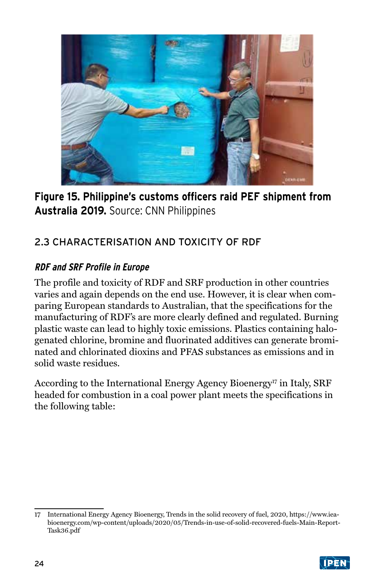

**Figure 15. Philippine's customs officers raid PEF shipment from Australia 2019.** Source: CNN Philippines

## 2.3 CHARACTERISATION AND TOXICITY OF RDF

#### **RDF and SRF Profile in Europe**

The profile and toxicity of RDF and SRF production in other countries varies and again depends on the end use. However, it is clear when comparing European standards to Australian, that the specifications for the manufacturing of RDF's are more clearly defined and regulated. Burning plastic waste can lead to highly toxic emissions. Plastics containing halogenated chlorine, bromine and fluorinated additives can generate brominated and chlorinated dioxins and PFAS substances as emissions and in solid waste residues.

According to the International Energy Agency Bioenergy<sup>17</sup> in Italy, SRF headed for combustion in a coal power plant meets the specifications in the following table:

<sup>17</sup> International Energy Agency Bioenergy, Trends in the solid recovery of fuel, 2020, https://www.ieabioenergy.com/wp-content/uploads/2020/05/Trends-in-use-of-solid-recovered-fuels-Main-Report-Task36.pdf

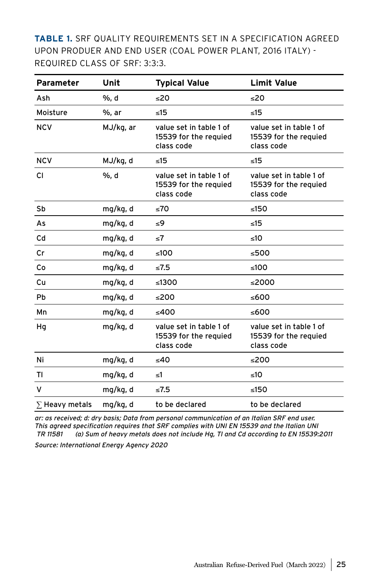**TABLE 1.** SRF QUALITY REQUIREMENTS SET IN A SPECIFICATION AGREED UPON PRODUER AND END USER (COAL POWER PLANT, 2016 ITALY) - REQUIRED CLASS OF SRF: 3:3:3.

| <b>Parameter</b>      | Unit      | <b>Typical Value</b>                                           | <b>Limit Value</b>                                             |
|-----------------------|-----------|----------------------------------------------------------------|----------------------------------------------------------------|
| Ash                   | %, d      | -20                                                            | 20                                                             |
| Moisture              | %, ar     | $\leq 15$                                                      | $\leq 15$                                                      |
| <b>NCV</b>            | MJ/kg, ar | value set in table 1 of<br>15539 for the requied<br>class code | value set in table 1 of<br>15539 for the requied<br>class code |
| <b>NCV</b>            | MJ/kg, d  | $\leq 15$                                                      | < 15                                                           |
| <b>CI</b>             | %, d      | value set in table 1 of<br>15539 for the requied<br>class code | value set in table 1 of<br>15539 for the requied<br>class code |
| Sb                    | mg/kg, d  | ≤70                                                            | ≤150                                                           |
| As                    | mg/kg, d  | ≤9                                                             | $\leq 15$                                                      |
| Cd                    | mg/kg, d  | ≤7                                                             | <10                                                            |
| Cr                    | mg/kg, d  | ≤100                                                           | ≤500                                                           |
| Co                    | mg/kg, d  | $\leq 7.5$                                                     | ≤100                                                           |
| Cu                    | mg/kg, d  | ≤1300                                                          | ≤2000                                                          |
| <b>Pb</b>             | mg/kg, d  | ≤200                                                           | ≤600                                                           |
| Mn                    | mg/kg, d  | ≤400                                                           | ≤600                                                           |
| Hq                    | mg/kg, d  | value set in table 1 of<br>15539 for the requied<br>class code | value set in table 1 of<br>15539 for the requied<br>class code |
| Ni                    | mg/kg, d  | ≤40                                                            | ≤200                                                           |
| ΤI                    | mg/kg, d  | ≤1                                                             | ≤10                                                            |
| v                     | mg/kg, d  | ≤7.5                                                           | ≤150                                                           |
| $\Sigma$ Heavy metals | mg/kg, d  | to be declared                                                 | to be declared                                                 |

ar: as received; d: dry basis; Data from personal communication of an Italian SRF end user. This agreed specification requires that SRF complies with UNI EN 15539 and the Italian UNI TR 11581 (a) Sum of heavy metals does not include Hg, Tl and Cd according to EN 15539:2011

Source: International Energy Agency 2020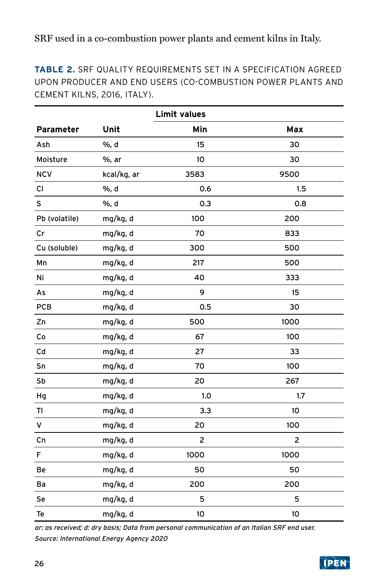**TABLE 2.** SRF QUALITY REQUIREMENTS SET IN A SPECIFICATION AGREED UPON PRODUCER AND END USERS (CO-COMBUSTION POWER PLANTS AND CEMENT KILNS, 2016, ITALY).

| <b>Limit values</b> |             |      |      |  |  |  |
|---------------------|-------------|------|------|--|--|--|
| Parameter           | Unit        | Min  | Max  |  |  |  |
| Ash                 | %, d        | 15   | 30   |  |  |  |
| Moisture            | %, ar       | 10   | 30   |  |  |  |
| <b>NCV</b>          | kcal/kg, ar | 3583 | 9500 |  |  |  |
| CI                  | %, d        | 0.6  | 1.5  |  |  |  |
| s                   | %, d        | 0.3  | 0.8  |  |  |  |
| Pb (volatile)       | mg/kg, d    | 100  | 200  |  |  |  |
| Cr                  | mg/kg, d    | 70   | 833  |  |  |  |
| Cu (soluble)        | mg/kg, d    | 300  | 500  |  |  |  |
| Mn                  | mg/kg, d    | 217  | 500  |  |  |  |
| Ni                  | mg/kg, d    | 40   | 333  |  |  |  |
| As                  | mg/kg, d    | 9    | 15   |  |  |  |
| <b>PCB</b>          | mg/kg, d    | 0.5  | 30   |  |  |  |
| Zn                  | mg/kg, d    | 500  | 1000 |  |  |  |
| Co                  | mg/kg, d    | 67   | 100  |  |  |  |
| Cd                  | mg/kg, d    | 27   | 33   |  |  |  |
| Sn                  | mg/kg, d    | 70   | 100  |  |  |  |
| Sb                  | mg/kg, d    | 20   | 267  |  |  |  |
| Hg                  | mg/kg, d    | 1.0  | 1.7  |  |  |  |
| Τl                  | mg/kg, d    | 3.3  | 10   |  |  |  |
| v                   | mg/kg, d    | 20   | 100  |  |  |  |
| Cn                  | mg/kg, d    | 2    | 2    |  |  |  |
| F                   | mg/kg, d    | 1000 | 1000 |  |  |  |
| Be                  | mg/kg, d    | 50   | 50   |  |  |  |
| Ba                  | mg/kg, d    | 200  | 200  |  |  |  |
| Se                  | mg/kg, d    | 5    | 5    |  |  |  |
| Te                  | mg/kg, d    | 10   | 10   |  |  |  |

ar: as received; d: dry basis; Data from personal communication of an Italian SRF end user. Source: International Energy Agency 2020

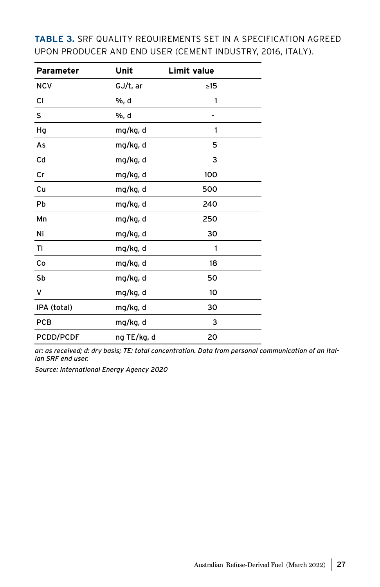| Parameter   | Unit        | Limit value |  |
|-------------|-------------|-------------|--|
| <b>NCV</b>  | GJ/t, ar    | $\geq$ 15   |  |
| СI          | %, d        | 1           |  |
| S           | %, d        |             |  |
| Hq          | mg/kg, d    | 1           |  |
| As          | mg/kg, d    | 5           |  |
| Cd          | mg/kg, d    | 3           |  |
| Cr          | mg/kg, d    | 100         |  |
| Cu          | mg/kg, d    | 500         |  |
| Pb          | mg/kg, d    | 240         |  |
| Mn          | mg/kg, d    | 250         |  |
| Ni          | mg/kg, d    | 30          |  |
| ΤI          | mg/kg, d    | 1           |  |
| Co          | mg/kg, d    | 18          |  |
| Sb          | mg/kg, d    | 50          |  |
| v           | mg/kg, d    | 10          |  |
| IPA (total) | mg/kg, d    | 30          |  |
| <b>PCB</b>  | mg/kg, d    | 3           |  |
| PCDD/PCDF   | ng TE/kg, d | 20          |  |

**TABLE 3.** SRF QUALITY REQUIREMENTS SET IN A SPECIFICATION AGREED UPON PRODUCER AND END USER (CEMENT INDUSTRY, 2016, ITALY).

ar: as received; d: dry basis; TE: total concentration. Data from personal communication of an Italian SRF end user.

Source: International Energy Agency 2020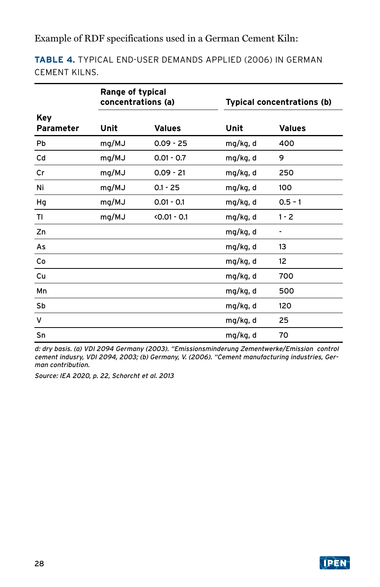Example of RDF specifications used in a German Cement Kiln:

**TABLE 4.** TYPICAL END-USER DEMANDS APPLIED (2006) IN GERMAN CEMENT KILNS.

|                         | Range of typical<br>concentrations (a) |               |          | <b>Typical concentrations (b)</b> |
|-------------------------|----------------------------------------|---------------|----------|-----------------------------------|
| Key<br><b>Parameter</b> | Unit                                   | <b>Values</b> | Unit     | <b>Values</b>                     |
| Pb                      | mg/MJ                                  | $0.09 - 25$   | mg/kg, d | 400                               |
| Cd                      | mg/MJ                                  | $0.01 - 0.7$  | mg/kg, d | 9                                 |
| Cr                      | mg/MJ                                  | $0.09 - 21$   | mg/kg, d | 250                               |
| Ni                      | mg/MJ                                  | $0.1 - 25$    | mg/kg, d | 100                               |
| Hg                      | mg/MJ                                  | $0.01 - 0.1$  | mg/kg, d | $0.5 - 1$                         |
| ΤI                      | mg/MJ                                  | $0.01 - 0.1$  | mg/kg, d | $1 - 2$                           |
| Zn                      |                                        |               | mg/kg, d |                                   |
| As                      |                                        |               | mg/kg, d | 13                                |
| Co                      |                                        |               | mg/kg, d | 12                                |
| Cu                      |                                        |               | mg/kg, d | 700                               |
| Mn                      |                                        |               | mg/kg, d | 500                               |
| Sb                      |                                        |               | mg/kg, d | 120                               |
| v                       |                                        |               | mg/kg, d | 25                                |
| Sn                      |                                        |               | mg/kg, d | 70                                |

d: dry basis. (a) VDI 2094 Germany (2003). "Emissionsminderung Zementwerke/Emission control cement indusry, VDI 2094, 2003; (b) Germany, V. (2006). "Cement manufacturing industries, German contribution.

Source: IEA 2020, p. 22, Schorcht et al. 2013

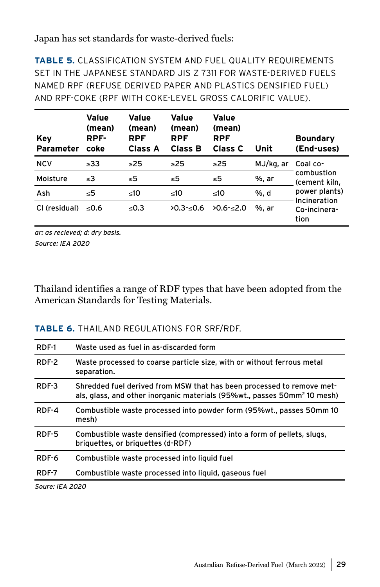#### Japan has set standards for waste-derived fuels:

**TABLE 5.** CLASSIFICATION SYSTEM AND FUEL QUALITY REQUIREMENTS SET IN THE JAPANESE STANDARD JIS Z 7311 FOR WASTE-DERIVED FUELS NAMED RPF (REFUSE DERIVED PAPER AND PLASTICS DENSIFIED FUEL) AND RPF-COKE (RPF WITH COKE-LEVEL GROSS CALORIFIC VALUE).

| Key<br><b>Parameter</b> | Value<br>(mean)<br>RPF-<br>coke | Value<br>(mean)<br><b>RPF</b><br><b>Class A</b> | Value<br>(mean)<br><b>RPF</b><br>Class B | Value<br>(mean)<br><b>RPF</b><br>Class C | Unit      | <b>Boundary</b><br>(End-uses)        |
|-------------------------|---------------------------------|-------------------------------------------------|------------------------------------------|------------------------------------------|-----------|--------------------------------------|
| <b>NCV</b>              | $\geq 33$                       | >25                                             | >25                                      | $\geq$ 25                                | MJ/kg, ar | Coal co-                             |
| Moisture                | $\leq$ 3                        | ≤5                                              | ≤5                                       | ≤5                                       | %, ar     | combustion<br>(cement kiln.          |
| Ash                     | ≤5                              | ≤10                                             | ≤10                                      | ≤10                                      | %. d      | power plants)                        |
| CI (residual)           | ≤0.6                            | $\leq 0.3$                                      | $20.3 - 0.6$                             | $20.6 - 2.0$                             | %. ar     | Incineration<br>Co-incinera-<br>tion |

ar: as recieved; d: dry basis. Source: IEA 2020

Thailand identifies a range of RDF types that have been adopted from the American Standards for Testing Materials.

#### **TABLE 6.** THAILAND REGULATIONS FOR SRF/RDF.

| RDF-1                       | Waste used as fuel in as-discarded form                                                                                                                       |
|-----------------------------|---------------------------------------------------------------------------------------------------------------------------------------------------------------|
| RDF-2                       | Waste processed to coarse particle size, with or without ferrous metal<br>separation.                                                                         |
| RDF-3                       | Shredded fuel derived from MSW that has been processed to remove met-<br>als, glass, and other inorganic materials (95%wt., passes 50mm <sup>2</sup> 10 mesh) |
| RDF-4                       | Combustible waste processed into powder form (95%wt., passes 50mm 10<br>mesh)                                                                                 |
| RDF-5                       | Combustible waste densified (compressed) into a form of pellets, slugs,<br>briquettes, or briquettes (d-RDF)                                                  |
| RDF-6                       | Combustible waste processed into liquid fuel                                                                                                                  |
| RDF-7                       | Combustible waste processed into liquid, gaseous fuel                                                                                                         |
| $C_{\text{out}}$ $E_A$ 2020 |                                                                                                                                                               |

Soure: IEA 2020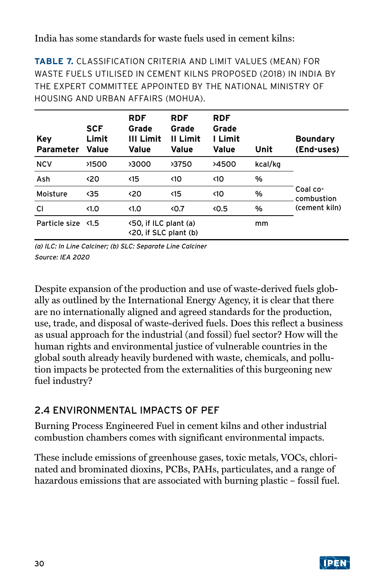#### India has some standards for waste fuels used in cement kilns:

**TABLE 7.** CLASSIFICATION CRITERIA AND LIMIT VALUES (MEAN) FOR WASTE FUELS UTILISED IN CEMENT KILNS PROPOSED (2018) IN INDIA BY THE EXPERT COMMITTEE APPOINTED BY THE NATIONAL MINISTRY OF HOUSING AND URBAN AFFAIRS (MOHUA).

| Key<br><b>Parameter</b> | <b>SCF</b><br>Limit<br>Value | <b>RDF</b><br>Grade<br>III Limit<br>Value      | <b>RDF</b><br>Grade<br>II Limit<br>Value | <b>RDF</b><br>Grade<br>I Limit<br>Value | Unit    | <b>Boundary</b><br>(End-uses) |
|-------------------------|------------------------------|------------------------------------------------|------------------------------------------|-----------------------------------------|---------|-------------------------------|
| <b>NCV</b>              | >1500                        | >3000                                          | >3750                                    | >4500                                   | kcal/kg |                               |
| Ash                     | <20                          | $\triangleleft$ 15                             | $\triangleleft$ 10                       | <10                                     | %       |                               |
| Moisture                | $35$                         | <20                                            | $\langle$ 15                             | $\langle$ 10                            | %       | Coal co-<br>combustion        |
| СI                      | $\triangleleft$ 1.0          | $\triangleleft$ 1.0                            | 50.7                                     | 0.5                                     | %       | (cement kiln)                 |
| Particle size           | $\langle 1.5$                | <50, if ILC plant (a)<br><20, if SLC plant (b) |                                          |                                         | mm      |                               |

(a) ILC: In Line Calciner; (b) SLC: Separate Line Calciner Source: IEA 2020

Despite expansion of the production and use of waste-derived fuels globally as outlined by the International Energy Agency, it is clear that there are no internationally aligned and agreed standards for the production, use, trade, and disposal of waste-derived fuels. Does this reflect a business as usual approach for the industrial (and fossil) fuel sector? How will the human rights and environmental justice of vulnerable countries in the global south already heavily burdened with waste, chemicals, and pollution impacts be protected from the externalities of this burgeoning new fuel industry?

## 2.4 ENVIRONMENTAL IMPACTS OF PEF

Burning Process Engineered Fuel in cement kilns and other industrial combustion chambers comes with significant environmental impacts.

These include emissions of greenhouse gases, toxic metals, VOCs, chlorinated and brominated dioxins, PCBs, PAHs, particulates, and a range of hazardous emissions that are associated with burning plastic – fossil fuel.

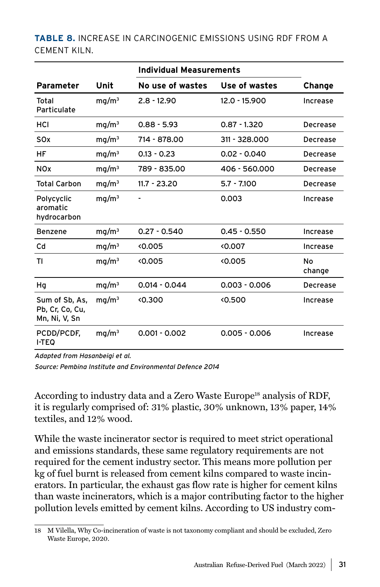#### **TABLE 8.** INCREASE IN CARCINOGENIC EMISSIONS USING RDF FROM A CEMENT KILN.

|                                                    |                   | Individual Measurements |                 |               |
|----------------------------------------------------|-------------------|-------------------------|-----------------|---------------|
| <b>Parameter</b>                                   | Unit              | No use of wastes        | Use of wastes   | <b>Change</b> |
| Total<br>Particulate                               | mq/m <sup>3</sup> | $2.8 - 12.90$           | $12.0 - 15.900$ | Increase      |
| HCI                                                | mq/m <sup>3</sup> | $0.88 - 5.93$           | $0.87 - 1.320$  | Decrease      |
| SO <sub>x</sub>                                    | mq/m <sup>3</sup> | 714 - 878.00            | 311 - 328,000   | Decrease      |
| НF                                                 | mq/m <sup>3</sup> | $0.13 - 0.23$           | $0.02 - 0.040$  | Decrease      |
| <b>NOx</b>                                         | mq/m <sup>3</sup> | 789 - 835.00            | 406 - 560.000   | Decrease      |
| <b>Total Carbon</b>                                | mq/m <sup>3</sup> | $11.7 - 23.20$          | $5.7 - 7.100$   | Decrease      |
| Polycyclic<br>aromatic<br>hydrocarbon              | mq/m <sup>3</sup> |                         | 0.003           | Increase      |
| <b>Benzene</b>                                     | mq/m <sup>3</sup> | $0.27 - 0.540$          | $0.45 - 0.550$  | Increase      |
| Cd                                                 | mq/m <sup>3</sup> | <0.005                  | 0.007           | Increase      |
| ΤI                                                 | mq/m <sup>3</sup> | <0.005                  | 0.005           | No<br>change  |
| Hq                                                 | mq/m <sup>3</sup> | $0.014 - 0.044$         | $0.003 - 0.006$ | Decrease      |
| Sum of Sb, As,<br>Pb, Cr, Co, Cu,<br>Mn, Ni, V, Sn | mq/m <sup>3</sup> | (0.300)                 | 0.500           | Increase      |
| PCDD/PCDF,<br><b>I-TEQ</b>                         | mq/m <sup>3</sup> | $0.001 - 0.002$         | $0.005 - 0.006$ | Increase      |

Adapted from Hasanbeigi et al.

Source: Pembina Institute and Environmental Defence 2014

According to industry data and a Zero Waste Europe<sup>18</sup> analysis of RDF, it is regularly comprised of: 31% plastic, 30% unknown, 13% paper, 14% textiles, and 12% wood.

While the waste incinerator sector is required to meet strict operational and emissions standards, these same regulatory requirements are not required for the cement industry sector. This means more pollution per kg of fuel burnt is released from cement kilns compared to waste incinerators. In particular, the exhaust gas flow rate is higher for cement kilns than waste incinerators, which is a major contributing factor to the higher pollution levels emitted by cement kilns. According to US industry com-

<sup>18</sup> M Vilella, Why Co-incineration of waste is not taxonomy compliant and should be excluded, Zero Waste Europe, 2020.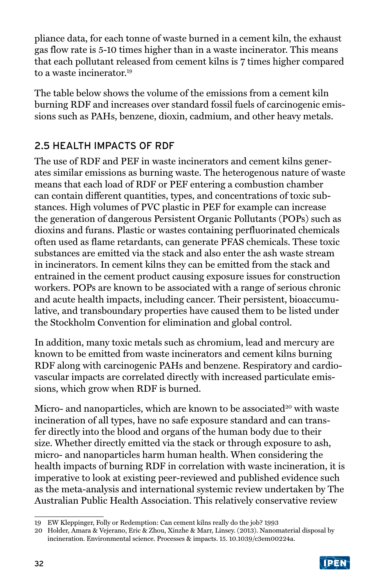pliance data, for each tonne of waste burned in a cement kiln, the exhaust gas flow rate is 5-10 times higher than in a waste incinerator. This means that each pollutant released from cement kilns is 7 times higher compared to a waste incinerator.19

The table below shows the volume of the emissions from a cement kiln burning RDF and increases over standard fossil fuels of carcinogenic emissions such as PAHs, benzene, dioxin, cadmium, and other heavy metals.

## 2.5 HEALTH IMPACTS OF RDF

The use of RDF and PEF in waste incinerators and cement kilns generates similar emissions as burning waste. The heterogenous nature of waste means that each load of RDF or PEF entering a combustion chamber can contain different quantities, types, and concentrations of toxic substances. High volumes of PVC plastic in PEF for example can increase the generation of dangerous Persistent Organic Pollutants (POPs) such as dioxins and furans. Plastic or wastes containing perfluorinated chemicals often used as flame retardants, can generate PFAS chemicals. These toxic substances are emitted via the stack and also enter the ash waste stream in incinerators. In cement kilns they can be emitted from the stack and entrained in the cement product causing exposure issues for construction workers. POPs are known to be associated with a range of serious chronic and acute health impacts, including cancer. Their persistent, bioaccumulative, and transboundary properties have caused them to be listed under the Stockholm Convention for elimination and global control.

In addition, many toxic metals such as chromium, lead and mercury are known to be emitted from waste incinerators and cement kilns burning RDF along with carcinogenic PAHs and benzene. Respiratory and cardiovascular impacts are correlated directly with increased particulate emissions, which grow when RDF is burned.

Micro- and nanoparticles, which are known to be associated<sup>20</sup> with waste incineration of all types, have no safe exposure standard and can transfer directly into the blood and organs of the human body due to their size. Whether directly emitted via the stack or through exposure to ash, micro- and nanoparticles harm human health. When considering the health impacts of burning RDF in correlation with waste incineration, it is imperative to look at existing peer-reviewed and published evidence such as the meta-analysis and international systemic review undertaken by The Australian Public Health Association. This relatively conservative review

<sup>20</sup> Holder, Amara & Vejerano, Eric & Zhou, Xinzhe & Marr, Linsey. (2013). Nanomaterial disposal by incineration. Environmental science. Processes & impacts. 15. 10.1039/c3em00224a.



<sup>19</sup> EW Kleppinger, Folly or Redemption: Can cement kilns really do the job? 1993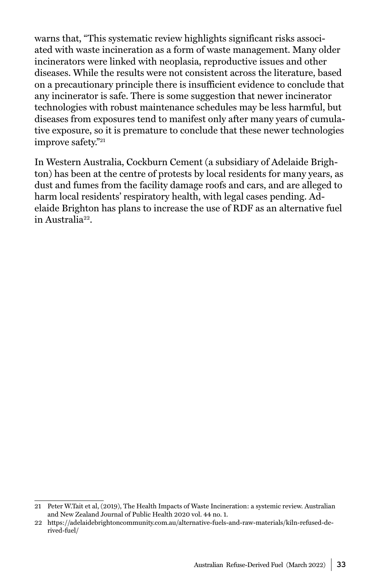warns that, "This systematic review highlights significant risks associated with waste incineration as a form of waste management. Many older incinerators were linked with neoplasia, reproductive issues and other diseases. While the results were not consistent across the literature, based on a precautionary principle there is insufficient evidence to conclude that any incinerator is safe. There is some suggestion that newer incinerator technologies with robust maintenance schedules may be less harmful, but diseases from exposures tend to manifest only after many years of cumulative exposure, so it is premature to conclude that these newer technologies improve safety."21

In Western Australia, Cockburn Cement (a subsidiary of Adelaide Brighton) has been at the centre of protests by local residents for many years, as dust and fumes from the facility damage roofs and cars, and are alleged to harm local residents' respiratory health, with legal cases pending. Adelaide Brighton has plans to increase the use of RDF as an alternative fuel in Australia22.

<sup>21</sup> Peter W.Tait et al, (2019), The Health Impacts of Waste Incineration: a systemic review. Australian and New Zealand Journal of Public Health 2020 vol. 44 no. 1.

<sup>22</sup> https://adelaidebrightoncommunity.com.au/alternative-fuels-and-raw-materials/kiln-refused-derived-fuel/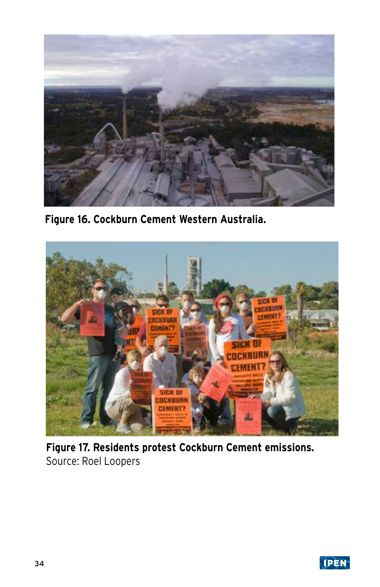

**Figure 16. Cockburn Cement Western Australia.**



**Figure 17. Residents protest Cockburn Cement emissions.**  Source: Roel Loopers

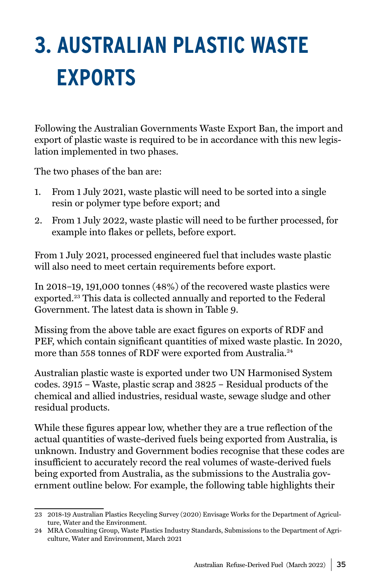# <span id="page-34-0"></span>**3. AUSTRALIAN PLASTIC WASTE EXPORTS**

Following the Australian Governments Waste Export Ban, the import and export of plastic waste is required to be in accordance with this new legislation implemented in two phases.

The two phases of the ban are:

- 1. From 1 July 2021, waste plastic will need to be sorted into a single resin or polymer type before export; and
- 2. From 1 July 2022, waste plastic will need to be further processed, for example into flakes or pellets, before export.

From 1 July 2021, processed engineered fuel that includes waste plastic will also need to meet certain requirements before export.

In 2018–19, 191,000 tonnes (48%) of the recovered waste plastics were exported.23 This data is collected annually and reported to the Federal Government. The latest data is shown in Table 9.

Missing from the above table are exact figures on exports of RDF and PEF, which contain significant quantities of mixed waste plastic. In 2020, more than 558 tonnes of RDF were exported from Australia.24

Australian plastic waste is exported under two UN Harmonised System codes. 3915 – Waste, plastic scrap and 3825 – Residual products of the chemical and allied industries, residual waste, sewage sludge and other residual products.

While these figures appear low, whether they are a true reflection of the actual quantities of waste-derived fuels being exported from Australia, is unknown. Industry and Government bodies recognise that these codes are insufficient to accurately record the real volumes of waste-derived fuels being exported from Australia, as the submissions to the Australia government outline below. For example, the following table highlights their

<sup>23</sup> 2018-19 Australian Plastics Recycling Survey (2020) Envisage Works for the Department of Agriculture, Water and the Environment.

<sup>24</sup> MRA Consulting Group, Waste Plastics Industry Standards, Submissions to the Department of Agriculture, Water and Environment, March 2021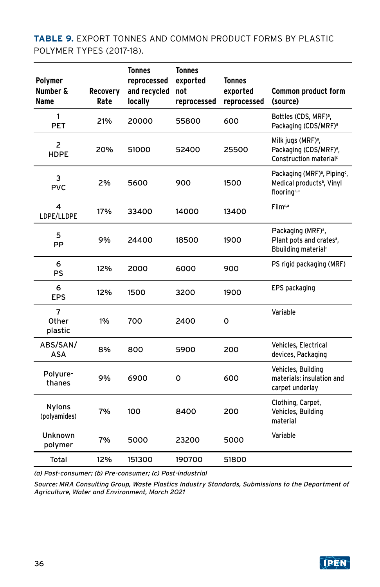**TABLE 9.** EXPORT TONNES AND COMMON PRODUCT FORMS BY PLASTIC POLYMER TYPES (2017-18).

| <b>Polymer</b><br><b>Number &amp;</b><br>Name | <b>Recovery</b><br>Rate | <b>Tonnes</b><br>reprocessed<br>and recycled<br>locally | <b>Tonnes</b><br>exported<br>not<br>reprocessed | <b>Tonnes</b><br>exported<br>reprocessed | Common product form<br>(source)                                                                                          |
|-----------------------------------------------|-------------------------|---------------------------------------------------------|-------------------------------------------------|------------------------------------------|--------------------------------------------------------------------------------------------------------------------------|
| 1<br><b>PET</b>                               | 21%                     | 20000                                                   | 55800                                           | 600                                      | Bottles (CDS, MRF) <sup>a</sup> ,<br>Packaging (CDS/MRF) <sup>a</sup>                                                    |
| $\overline{2}$<br><b>HDPE</b>                 | 20%                     | 51000                                                   | 52400                                           | 25500                                    | Milk jugs (MRF) <sup>a</sup> ,<br>Packaging (CDS/MRF) <sup>a</sup> ,<br>Construction material <sup>c</sup>               |
| 3<br><b>PVC</b>                               | 2%                      | 5600                                                    | 900                                             | 1500                                     | Packaging (MRF) <sup>a</sup> , Piping <sup>c</sup> ,<br>Medical products <sup>a</sup> , Vinyl<br>flooring <sup>a,b</sup> |
| 4<br>LDPE/LLDPE                               | 17%                     | 33400                                                   | 14000                                           | 13400                                    | Film <sup>c,a</sup>                                                                                                      |
| 5<br>PP                                       | 9%                      | 24400                                                   | 18500                                           | 1900                                     | Packaging (MRF) <sup>a</sup> ,<br>Plant pots and crates <sup>a</sup> ,<br>Bbuilding material <sup>c</sup>                |
| 6<br>PS                                       | 12%                     | 2000                                                    | 6000                                            | 900                                      | PS rigid packaging (MRF)                                                                                                 |
| 6<br><b>EPS</b>                               | 12%                     | 1500                                                    | 3200                                            | 1900                                     | EPS packaging                                                                                                            |
| 7<br>Other<br>plastic                         | 1%                      | 700                                                     | 2400                                            | 0                                        | Variable                                                                                                                 |
| ABS/SAN/<br>ASA                               | 8%                      | 800                                                     | 5900                                            | 200                                      | Vehicles, Electrical<br>devices, Packaging                                                                               |
| Polyure-<br>thanes                            | 9%                      | 6900                                                    | 0                                               | 600                                      | Vehicles, Building<br>materials: insulation and<br>carpet underlay                                                       |
| <b>Nylons</b><br>(polyamides)                 | 7%                      | 100                                                     | 8400                                            | 200                                      | Clothing, Carpet,<br>Vehicles, Building<br>material                                                                      |
| Unknown<br>polymer                            | 7%                      | 5000                                                    | 23200                                           | 5000                                     | Variable                                                                                                                 |
| Total                                         | 12%                     | 151300                                                  | 190700                                          | 51800                                    |                                                                                                                          |

(a) Post-consumer; (b) Pre-consumer; (c) Post-industrial

Source: MRA Consulting Group, Waste Plastics Industry Standards, Submissions to the Department of Agriculture, Water and Environment, March 2021

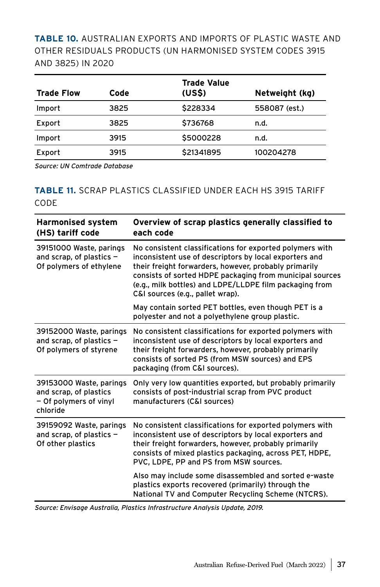**TABLE 10.** AUSTRALIAN EXPORTS AND IMPORTS OF PLASTIC WASTE AND OTHER RESIDUALS PRODUCTS (UN HARMONISED SYSTEM CODES 3915 AND 3825) IN 2020

| <b>Trade Flow</b> | Code | <b>Trade Value</b><br>(USS) | Netweight (kg) |
|-------------------|------|-----------------------------|----------------|
| Import            | 3825 | \$228334                    | 558087 (est.)  |
| Export            | 3825 | \$736768                    | n.d.           |
| Import            | 3915 | \$5000228                   | n.d.           |
| Export            | 3915 | \$21341895                  | 100204278      |

Source: UN Comtrade Database

#### **TABLE 11.** SCRAP PLASTICS CLASSIFIED UNDER EACH HS 3915 TARIFF CODE

| <b>Harmonised system</b><br>(HS) tariff code                                            | Overview of scrap plastics generally classified to<br>each code                                                                                                                                                                                                                                                                        |  |
|-----------------------------------------------------------------------------------------|----------------------------------------------------------------------------------------------------------------------------------------------------------------------------------------------------------------------------------------------------------------------------------------------------------------------------------------|--|
| 39151000 Waste, parings<br>and scrap, of plastics $-$<br>Of polymers of ethylene        | No consistent classifications for exported polymers with<br>inconsistent use of descriptors by local exporters and<br>their freight forwarders, however, probably primarily<br>consists of sorted HDPE packaging from municipal sources<br>(e.g., milk bottles) and LDPE/LLDPE film packaging from<br>C&I sources (e.g., pallet wrap). |  |
|                                                                                         | May contain sorted PET bottles, even though PET is a<br>polyester and not a polyethylene group plastic.                                                                                                                                                                                                                                |  |
| 39152000 Waste, parings<br>and scrap, of plastics $-$<br>Of polymers of styrene         | No consistent classifications for exported polymers with<br>inconsistent use of descriptors by local exporters and<br>their freight forwarders, however, probably primarily<br>consists of sorted PS (from MSW sources) and EPS<br>packaging (from C&I sources).                                                                       |  |
| 39153000 Waste, parings<br>and scrap, of plastics<br>- Of polymers of vinyl<br>chloride | Only very low quantities exported, but probably primarily<br>consists of post-industrial scrap from PVC product<br>manufacturers (C&I sources)                                                                                                                                                                                         |  |
| 39159092 Waste, parings<br>and scrap, of plastics $-$<br>Of other plastics              | No consistent classifications for exported polymers with<br>inconsistent use of descriptors by local exporters and<br>their freight forwarders, however, probably primarily<br>consists of mixed plastics packaging, across PET, HDPE,<br>PVC, LDPE, PP and PS from MSW sources.                                                       |  |
|                                                                                         | Also may include some disassembled and sorted e-waste<br>plastics exports recovered (primarily) through the<br>National TV and Computer Recycling Scheme (NTCRS).                                                                                                                                                                      |  |

Source: Envisage Australia, Plastics Infrastructure Analysis Update, 2019.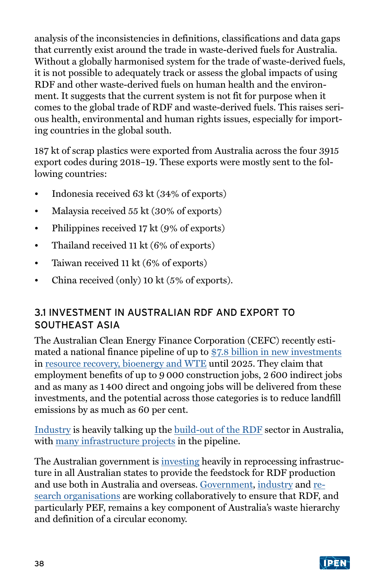analysis of the inconsistencies in definitions, classifications and data gaps that currently exist around the trade in waste-derived fuels for Australia. Without a globally harmonised system for the trade of waste-derived fuels, it is not possible to adequately track or assess the global impacts of using RDF and other waste-derived fuels on human health and the environment. It suggests that the current system is not fit for purpose when it comes to the global trade of RDF and waste-derived fuels. This raises serious health, environmental and human rights issues, especially for importing countries in the global south.

187 kt of scrap plastics were exported from Australia across the four 3915 export codes during 2018–19. These exports were mostly sent to the following countries:

- Indonesia received 63 kt (34% of exports)
- Malaysia received 55 kt (30% of exports)
- Philippines received 17 kt (9% of exports)
- Thailand received 11 kt (6% of exports)
- Taiwan received 11 kt (6% of exports)
- China received (only) 10 kt (5% of exports).

### 3.1 INVESTMENT IN AUSTRALIAN RDF AND EXPORT TO SOUTHEAST ASIA

The Australian Clean Energy Finance Corporation (CEFC) recently estimated a national finance pipeline of up to [\\$7.8 billion in new investments](https://www.cefc.com.au/media/media-release/billion-dollar-recycling-and-resource-recovery-industry-to-turn-trash-into-treasure/) in [resource recovery, bioenergy and WTE](https://www.cefc.com.au/media/mkunwlvg/energising-resource-recovery-the-australian-opportunity.pdf) until 2025. They claim that employment benefits of up to 9 000 construction jobs, 2 600 indirect jobs and as many as 1 400 direct and ongoing jobs will be delivered from these investments, and the potential across those categories is to reduce landfill emissions by as much as 60 per cent.

[Industry](https://thefifthestate.com.au/waste/sorting-out-the-waste-to-energy-mess/) is heavily talking up the [build-out of the RDF](https://www.energyaustralia.com.au/sites/default/files/2019-07/Energy-Recovery-Fact-Sheet_0.pdf) sector in Australia, with [many infrastructure projects](https://www.cleanaway.com.au/sustainable-future/australias-largest-waste-fuel-plant-opens-nsw/) in the pipeline.

The Australian government is *investing* heavily in reprocessing infrastructure in all Australian states to provide the feedstock for RDF production and use both in Australia and overseas. [Government,](https://arena.gov.au/projects/mt-piper-power-station-energy-recovery-feasibility-study/) [industry](https://www.visy.com.au/about/clean-energy) and [re](https://www.csiro.au/en/research/natural-environment/circular-economy)[search organisations](https://www.csiro.au/en/research/natural-environment/circular-economy) are working collaboratively to ensure that RDF, and particularly PEF, remains a key component of Australia's waste hierarchy and definition of a circular economy.

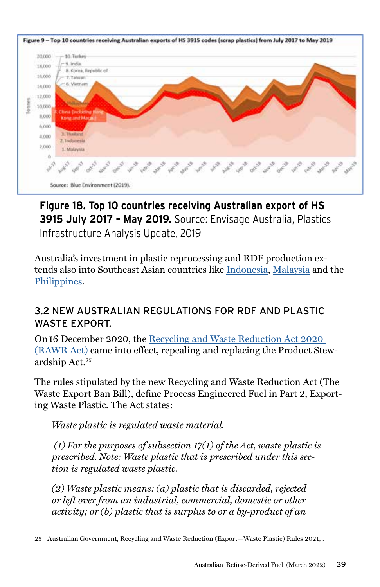

## **Figure 18. Top 10 countries receiving Australian export of HS 3915 July 2017 – May 2019.** Source: Envisage Australia, Plastics Infrastructure Analysis Update, 2019

Australia's investment in plastic reprocessing and RDF production extends also into Southeast Asian countries like [Indonesia](https://research.csiro.au/ending-plastic-waste/australia-indonesia-plastics-innovation-hub/), [Malaysia](https://resourceco.com.au/app/uploads/2020/02/CD4675_RC-Asia_A4-3pp_AboutUs_CMYK_%C6%92_WEB.pdf) and the [Philippines.](https://www.cemfuels.com/news/item/3123-holcim-philippines-makes-case-for-alternative-fuels-imports)

### 3.2 NEW AUSTRALIAN REGULATIONS FOR RDF AND PLASTIC WASTE EXPORT.

On 16 December 2020, the [Recycling and Waste Reduction Act 2020](https://www.legislation.gov.au/Details/C2020A00119)  [\(RAWR Act\)](https://www.legislation.gov.au/Details/C2020A00119) came into effect, repealing and replacing the Product Stewardship Act.25

The rules stipulated by the new Recycling and Waste Reduction Act (The Waste Export Ban Bill), define Process Engineered Fuel in Part 2, Exporting Waste Plastic. The Act states:

*Waste plastic is regulated waste material.*

 *(1) For the purposes of subsection 17(1) of the Act, waste plastic is prescribed. Note: Waste plastic that is prescribed under this section is regulated waste plastic.* 

*(2) Waste plastic means: (a) plastic that is discarded, rejected or left over from an industrial, commercial, domestic or other activity; or (b) plastic that is surplus to or a by-product of an* 

<sup>25</sup> Australian Government, Recycling and Waste Reduction (Export—Waste Plastic) Rules 2021, .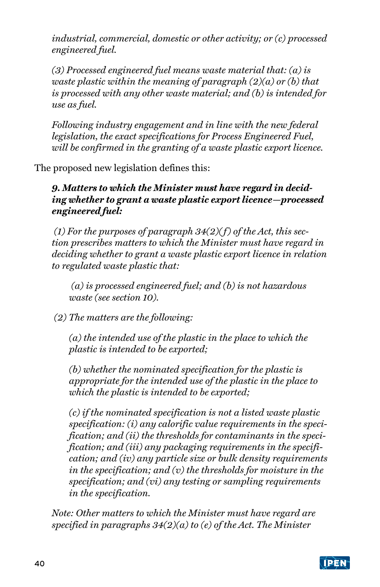*industrial, commercial, domestic or other activity; or (c) processed engineered fuel.* 

*(3) Processed engineered fuel means waste material that: (a) is waste plastic within the meaning of paragraph (2)(a) or (b) that is processed with any other waste material; and (b) is intended for use as fuel.*

*Following industry engagement and in line with the new federal legislation, the exact specifications for Process Engineered Fuel, will be confirmed in the granting of a waste plastic export licence.*

The proposed new legislation defines this:

*9. Matters to which the Minister must have regard in deciding whether to grant a waste plastic export licence—processed engineered fuel:*

 *(1) For the purposes of paragraph 34(2)( f) of the Act, this section prescribes matters to which the Minister must have regard in deciding whether to grant a waste plastic export licence in relation to regulated waste plastic that:*

 *(a) is processed engineered fuel; and (b) is not hazardous waste (see section 10).*

 *(2) The matters are the following:* 

*(a) the intended use of the plastic in the place to which the plastic is intended to be exported;* 

*(b) whether the nominated specification for the plastic is appropriate for the intended use of the plastic in the place to which the plastic is intended to be exported;* 

*(c) if the nominated specification is not a listed waste plastic specification: (i) any calorific value requirements in the specification; and (ii) the thresholds for contaminants in the specification; and (iii) any packaging requirements in the specification; and (iv) any particle size or bulk density requirements in the specification; and (v) the thresholds for moisture in the specification; and (vi) any testing or sampling requirements in the specification.*

*Note: Other matters to which the Minister must have regard are specified in paragraphs 34(2)(a) to (e) of the Act. The Minister*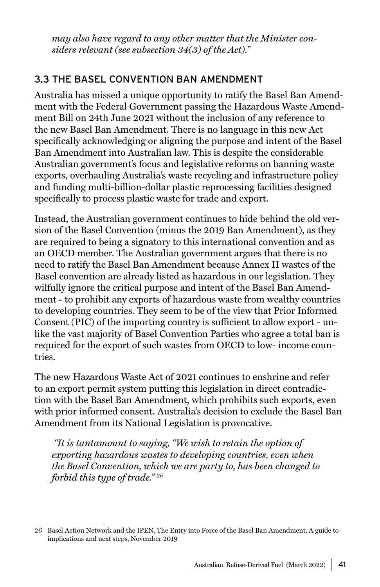*may also have regard to any other matter that the Minister considers relevant (see subsection 34(3) of the Act)."*

### 3.3 THE BASEL CONVENTION BAN AMENDMENT

Australia has missed a unique opportunity to ratify the Basel Ban Amendment with the Federal Government passing the Hazardous Waste Amendment Bill on 24th June 2021 without the inclusion of any reference to the new Basel Ban Amendment. There is no language in this new Act specifically acknowledging or aligning the purpose and intent of the Basel Ban Amendment into Australian law. This is despite the considerable Australian government's focus and legislative reforms on banning waste exports, overhauling Australia's waste recycling and infrastructure policy and funding multi-billion-dollar plastic reprocessing facilities designed specifically to process plastic waste for trade and export.

Instead, the Australian government continues to hide behind the old version of the Basel Convention (minus the 2019 Ban Amendment), as they are required to being a signatory to this international convention and as an OECD member. The Australian government argues that there is no need to ratify the Basel Ban Amendment because Annex II wastes of the Basel convention are already listed as hazardous in our legislation. They wilfully ignore the critical purpose and intent of the Basel Ban Amendment - to prohibit any exports of hazardous waste from wealthy countries to developing countries. They seem to be of the view that Prior Informed Consent (PIC) of the importing country is sufficient to allow export - unlike the vast majority of Basel Convention Parties who agree a total ban is required for the export of such wastes from OECD to low- income countries.

The new Hazardous Waste Act of 2021 continues to enshrine and refer to an export permit system putting this legislation in direct contradiction with the Basel Ban Amendment, which prohibits such exports, even with prior informed consent. Australia's decision to exclude the Basel Ban Amendment from its National Legislation is provocative.

 *"It is tantamount to saying, "We wish to retain the option of exporting hazardous wastes to developing countries, even when the Basel Convention, which we are party to, has been changed to forbid this type of trade." 26*

<sup>26</sup> Basel Action Network and the IPEN, The Entry into Force of the Basel Ban Amendment, A guide to implications and next steps, November 2019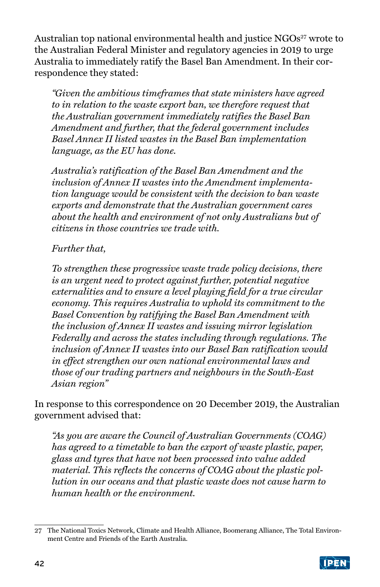Australian top national environmental health and justice  $NGOs<sup>27</sup>$  wrote to the Australian Federal Minister and regulatory agencies in 2019 to urge Australia to immediately ratify the Basel Ban Amendment. In their correspondence they stated:

*"Given the ambitious timeframes that state ministers have agreed to in relation to the waste export ban, we therefore request that the Australian government immediately ratifies the Basel Ban Amendment and further, that the federal government includes Basel Annex II listed wastes in the Basel Ban implementation language, as the EU has done.*

*Australia's ratification of the Basel Ban Amendment and the inclusion of Annex II wastes into the Amendment implementation language would be consistent with the decision to ban waste exports and demonstrate that the Australian government cares about the health and environment of not only Australians but of citizens in those countries we trade with.*

#### *Further that,*

*To strengthen these progressive waste trade policy decisions, there is an urgent need to protect against further, potential negative externalities and to ensure a level playing field for a true circular economy. This requires Australia to uphold its commitment to the Basel Convention by ratifying the Basel Ban Amendment with the inclusion of Annex II wastes and issuing mirror legislation Federally and across the states including through regulations. The inclusion of Annex II wastes into our Basel Ban ratification would in effect strengthen our own national environmental laws and those of our trading partners and neighbours in the South-East Asian region"*

In response to this correspondence on 20 December 2019, the Australian government advised that:

*"As you are aware the Council of Australian Governments (COAG) has agreed to a timetable to ban the export of waste plastic, paper, glass and tyres that have not been processed into value added material. This reflects the concerns of COAG about the plastic pollution in our oceans and that plastic waste does not cause harm to human health or the environment.*

<sup>27</sup> The National Toxics Network, Climate and Health Alliance, Boomerang Alliance, The Total Environment Centre and Friends of the Earth Australia.

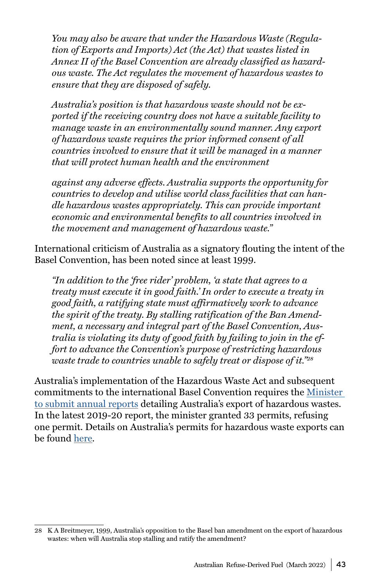*You may also be aware that under the Hazardous Waste (Regulation of Exports and Imports) Act (the Act) that wastes listed in Annex II of the Basel Convention are already classified as hazardous waste. The Act regulates the movement of hazardous wastes to ensure that they are disposed of safely.*

*Australia's position is that hazardous waste should not be exported if the receiving country does not have a suitable facility to manage waste in an environmentally sound manner. Any export of hazardous waste requires the prior informed consent of all countries involved to ensure that it will be managed in a manner that will protect human health and the environment*

*against any adverse effects. Australia supports the opportunity for countries to develop and utilise world class facilities that can handle hazardous wastes appropriately. This can provide important economic and environmental benefits to all countries involved in the movement and management of hazardous waste."*

International criticism of Australia as a signatory flouting the intent of the Basel Convention, has been noted since at least 1999.

*"In addition to the 'free rider' problem, 'a state that agrees to a treaty must execute it in good faith.' In order to execute a treaty in good faith, a ratifying state must affirmatively work to advance the spirit of the treaty. By stalling ratification of the Ban Amendment, a necessary and integral part of the Basel Convention, Australia is violating its duty of good faith by failing to join in the effort to advance the Convention's purpose of restricting hazardous waste trade to countries unable to safely treat or dispose of it."28*

Australia's implementation of the Hazardous Waste Act and subsequent commitments to the international Basel Convention requires the [Minister](https://www.transparency.gov.au/annual-reports/department-agriculture-water-and-environment/reporting-year/2019-20-10)  [to submit annual reports](https://www.transparency.gov.au/annual-reports/department-agriculture-water-and-environment/reporting-year/2019-20-10) detailing Australia's export of hazardous wastes. In the latest 2019-20 report, the minister granted 33 permits, refusing one permit. Details on Australia's permits for hazardous waste exports can be found [here](http://www.environment.gov.au/protection/hazardous-waste/application-and-permit-notices).

<sup>28</sup> K A Breitmeyer, 1999, Australia's opposition to the Basel ban amendment on the export of hazardous wastes: when will Australia stop stalling and ratify the amendment?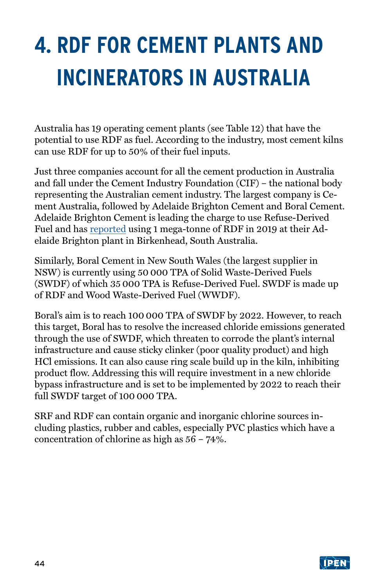# <span id="page-43-0"></span>**4. RDF FOR CEMENT PLANTS AND INCINERATORS IN AUSTRALIA**

Australia has 19 operating cement plants (see Table 12) that have the potential to use RDF as fuel. According to the industry, most cement kilns can use RDF for up to 50% of their fuel inputs.

Just three companies account for all the cement production in Australia and fall under the Cement Industry Foundation (CIF) – the national body representing the Australian cement industry. The largest company is Cement Australia, followed by Adelaide Brighton Cement and Boral Cement. Adelaide Brighton Cement is leading the charge to use Refuse-Derived Fuel and has [reported](https://www.cemnet.com/News/story/167772/adelaide-brighton-uses-1mt-of-rdf-at-birkenhead-plant.html) using 1 mega-tonne of RDF in 2019 at their Adelaide Brighton plant in Birkenhead, South Australia.

Similarly, Boral Cement in New South Wales (the largest supplier in NSW) is currently using 50 000 TPA of Solid Waste-Derived Fuels (SWDF) of which 35 000 TPA is Refuse-Derived Fuel. SWDF is made up of RDF and Wood Waste-Derived Fuel (WWDF).

Boral's aim is to reach 100 000 TPA of SWDF by 2022. However, to reach this target, Boral has to resolve the increased chloride emissions generated through the use of SWDF, which threaten to corrode the plant's internal infrastructure and cause sticky clinker (poor quality product) and high HCl emissions. It can also cause ring scale build up in the kiln, inhibiting product flow. Addressing this will require investment in a new chloride bypass infrastructure and is set to be implemented by 2022 to reach their full SWDF target of 100 000 TPA.

SRF and RDF can contain organic and inorganic chlorine sources including plastics, rubber and cables, especially PVC plastics which have a concentration of chlorine as high as 56 – 74%.

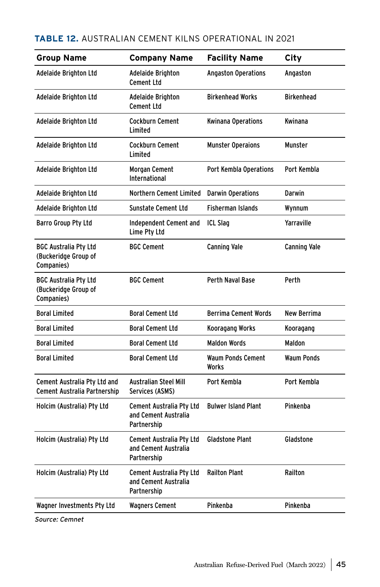#### **TABLE 12.** AUSTRALIAN CEMENT KILNS OPERATIONAL IN 2021

| <b>Group Name</b>                                                  | <b>Company Name</b>                                             | <b>Facility Name</b>              | City                |
|--------------------------------------------------------------------|-----------------------------------------------------------------|-----------------------------------|---------------------|
| Adelaide Brighton Ltd                                              | <b>Adelaide Brighton</b><br><b>Cement Ltd</b>                   | <b>Angaston Operations</b>        | Angaston            |
| Adelaide Brighton Ltd                                              | Adelaide Brighton<br><b>Cement Ltd</b>                          | <b>Birkenhead Works</b>           | <b>Birkenhead</b>   |
| Adelaide Brighton Ltd                                              | <b>Cockburn Cement</b><br>Limited                               | <b>Kwinana Operations</b>         | Kwinana             |
| Adelaide Brighton Ltd                                              | <b>Cockburn Cement</b><br>Limited                               | <b>Munster Operaions</b>          | Munster             |
| Adelaide Brighton Ltd                                              | <b>Morgan Cement</b><br>International                           | Port Kembla Operations            | Port Kembla         |
| Adelaide Brighton Ltd                                              | Northern Cement Limited                                         | <b>Darwin Operations</b>          | Darwin              |
| Adelaide Brighton Ltd                                              | <b>Sunstate Cement Ltd</b>                                      | <b>Fisherman Islands</b>          | Wynnum              |
| Barro Group Pty Ltd                                                | Independent Cement and<br>Lime Pty Ltd                          | <b>ICL Slag</b>                   | Yarraville          |
| <b>BGC Australia Pty Ltd</b><br>(Buckeridge Group of<br>Companies) | <b>BGC Cement</b>                                               | <b>Canning Vale</b>               | <b>Canning Vale</b> |
| <b>BGC Australia Pty Ltd</b><br>(Buckeridge Group of<br>Companies) | <b>BGC Cement</b>                                               | Perth Naval Base                  | Perth               |
| <b>Boral Limited</b>                                               | <b>Boral Cement Ltd</b>                                         | <b>Berrima Cement Words</b>       | New Berrima         |
| <b>Boral Limited</b>                                               | <b>Boral Cement Ltd</b>                                         | Kooragang Works                   | Kooragang           |
| <b>Boral Limited</b>                                               | <b>Boral Cement Ltd</b>                                         | <b>Maldon Words</b>               | Maldon              |
| <b>Boral Limited</b>                                               | <b>Boral Cement Ltd</b>                                         | <b>Waum Ponds Cement</b><br>Works | <b>Waum Ponds</b>   |
| Cement Australia Pty Ltd and<br>Cement Australia Partnership       | <b>Australian Steel Mill</b><br>Services (ASMS)                 | Port Kembla                       | Port Kembla         |
| Holcim (Australia) Pty Ltd                                         | Cement Australia Pty Ltd<br>and Cement Australia<br>Partnership | <b>Bulwer Island Plant</b>        | Pinkenba            |
| Holcim (Australia) Pty Ltd                                         | Cement Australia Pty Ltd<br>and Cement Australia<br>Partnership | <b>Gladstone Plant</b>            | Gladstone           |
| Holcim (Australia) Pty Ltd                                         | Cement Australia Pty Ltd<br>and Cement Australia<br>Partnership | <b>Railton Plant</b>              | Railton             |
| Wagner Investments Pty Ltd                                         | <b>Wagners Cement</b>                                           | Pinkenba                          | Pinkenba            |
|                                                                    |                                                                 |                                   |                     |

Source: Cemnet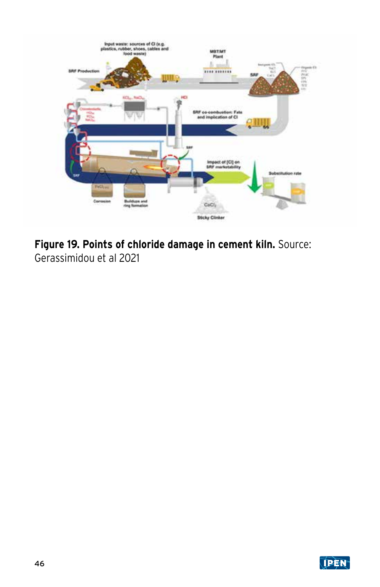

**Figure 19. Points of chloride damage in cement kiln.** Source: Gerassimidou et al 2021

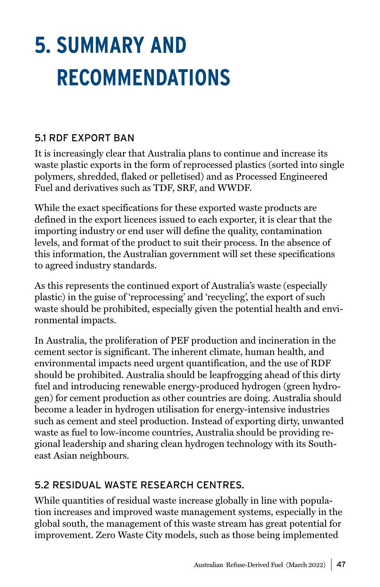# <span id="page-46-0"></span>**5. SUMMARY AND RECOMMENDATIONS**

### 5.1 RDF EXPORT BAN

It is increasingly clear that Australia plans to continue and increase its waste plastic exports in the form of reprocessed plastics (sorted into single polymers, shredded, flaked or pelletised) and as Processed Engineered Fuel and derivatives such as TDF, SRF, and WWDF.

While the exact specifications for these exported waste products are defined in the export licences issued to each exporter, it is clear that the importing industry or end user will define the quality, contamination levels, and format of the product to suit their process. In the absence of this information, the Australian government will set these specifications to agreed industry standards.

As this represents the continued export of Australia's waste (especially plastic) in the guise of 'reprocessing' and 'recycling', the export of such waste should be prohibited, especially given the potential health and environmental impacts.

In Australia, the proliferation of PEF production and incineration in the cement sector is significant. The inherent climate, human health, and environmental impacts need urgent quantification, and the use of RDF should be prohibited. Australia should be leapfrogging ahead of this dirty fuel and introducing renewable energy-produced hydrogen (green hydrogen) for cement production as other countries are doing. Australia should become a leader in hydrogen utilisation for energy-intensive industries such as cement and steel production. Instead of exporting dirty, unwanted waste as fuel to low-income countries, Australia should be providing regional leadership and sharing clean hydrogen technology with its Southeast Asian neighbours.

### 5.2 RESIDUAL WASTE RESEARCH CENTRES.

While quantities of residual waste increase globally in line with population increases and improved waste management systems, especially in the global south, the management of this waste stream has great potential for improvement. Zero Waste City models, such as those being implemented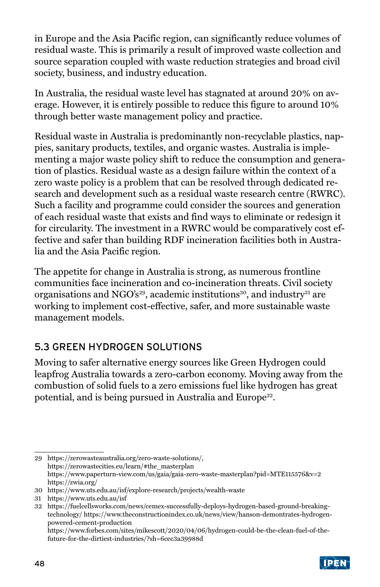in Europe and the Asia Pacific region, can significantly reduce volumes of residual waste. This is primarily a result of improved waste collection and source separation coupled with waste reduction strategies and broad civil society, business, and industry education.

In Australia, the residual waste level has stagnated at around 20% on average. However, it is entirely possible to reduce this figure to around 10% through better waste management policy and practice.

Residual waste in Australia is predominantly non-recyclable plastics, nappies, sanitary products, textiles, and organic wastes. Australia is implementing a major waste policy shift to reduce the consumption and generation of plastics. Residual waste as a design failure within the context of a zero waste policy is a problem that can be resolved through dedicated research and development such as a residual waste research centre (RWRC). Such a facility and programme could consider the sources and generation of each residual waste that exists and find ways to eliminate or redesign it for circularity. The investment in a RWRC would be comparatively cost effective and safer than building RDF incineration facilities both in Australia and the Asia Pacific region.

The appetite for change in Australia is strong, as numerous frontline communities face incineration and co-incineration threats. Civil society organisations and NGO's<sup>29</sup>, academic institutions<sup>30</sup>, and industry<sup>31</sup> are working to implement cost-effective, safer, and more sustainable waste management models.

## 5.3 GREEN HYDROGEN SOLUTIONS

Moving to safer alternative energy sources like Green Hydrogen could leapfrog Australia towards a zero-carbon economy. Moving away from the combustion of solid fuels to a zero emissions fuel like hydrogen has great potential, and is being pursued in Australia and Europe<sup>32</sup>.

https://www.forbes.com/sites/mikescott/2020/04/06/hydrogen-could-be-the-clean-fuel-of-thefuture-for-the-dirtiest-industries/?sh=6cec3a39988d



<sup>29</sup> https://zerowasteaustralia.org/zero-waste-solutions/, https://zerowastecities.eu/learn/#the\_masterplan https://www.paperturn-view.com/us/gaia/gaia-zero-waste-masterplan?pid=MTE115576&v=2 https://zwia.org/

<sup>30</sup> https://www.uts.edu.au/isf/explore-research/projects/wealth-waste

<sup>31</sup> https://www.uts.edu.au/isf

<sup>32</sup> https://fuelcellsworks.com/news/cemex-successfully-deploys-hydrogen-based-ground-breakingtechnology/ https://www.theconstructionindex.co.uk/news/view/hanson-demontrates-hydrogenpowered-cement-production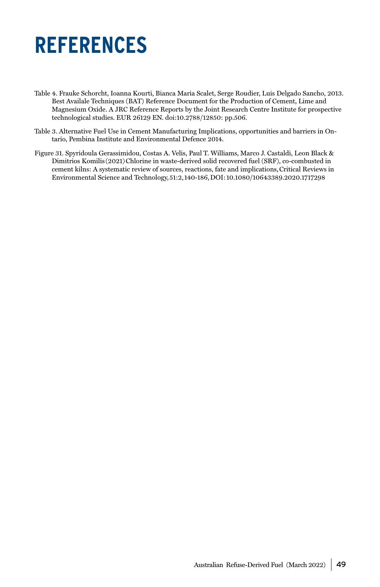## <span id="page-48-0"></span>**REFERENCES**

- Table 4. Frauke Schorcht, Ioanna Kourti, Bianca Maria Scalet, Serge Roudier, Luis Delgado Sancho, 2013. Best Availale Techniques (BAT) Reference Document for the Production of Cement, Lime and Magnesium Oxide. A JRC Reference Reports by the Joint Research Centre Institute for prospective technological studies. EUR 26129 EN. doi:10.2788/12850: pp.506.
- Table 3. Alternative Fuel Use in Cement Manufacturing Implications, opportunities and barriers in Ontario, Pembina Institute and Environmental Defence 2014.
- Figure 31. Spyridoula Gerassimidou, Costas A. Velis, Paul T. Williams, Marco J. Castaldi, Leon Black & Dimitrios Komilis (2021) Chlorine in waste-derived solid recovered fuel (SRF), co-combusted in cement kilns: A systematic review of sources, reactions, fate and implications, Critical Reviews in Environmental Science and Technology, 51:2, 140-186, DOI: 10.1080/10643389.2020.1717298